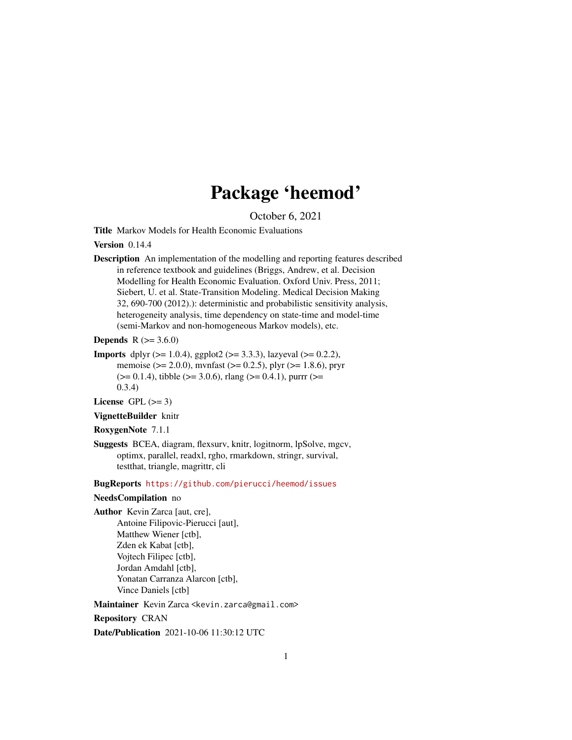# Package 'heemod'

October 6, 2021

<span id="page-0-0"></span>Title Markov Models for Health Economic Evaluations

#### Version 0.14.4

Description An implementation of the modelling and reporting features described in reference textbook and guidelines (Briggs, Andrew, et al. Decision Modelling for Health Economic Evaluation. Oxford Univ. Press, 2011; Siebert, U. et al. State-Transition Modeling. Medical Decision Making 32, 690-700 (2012).): deterministic and probabilistic sensitivity analysis, heterogeneity analysis, time dependency on state-time and model-time (semi-Markov and non-homogeneous Markov models), etc.

**Depends** R  $(>= 3.6.0)$ 

**Imports** dplyr ( $>= 1.0.4$ ), ggplot2 ( $>= 3.3.3$ ), lazyeval ( $>= 0.2.2$ ), memoise (>= 2.0.0), mvnfast (>= 0.2.5), plyr (>= 1.8.6), pryr  $(>= 0.1.4)$ , tibble  $(>= 3.0.6)$ , rlang  $(>= 0.4.1)$ , purrr  $(>= 0.1.4)$ 0.3.4)

License GPL  $(>= 3)$ 

VignetteBuilder knitr

```
RoxygenNote 7.1.1
```
Suggests BCEA, diagram, flexsurv, knitr, logitnorm, lpSolve, mgcv, optimx, parallel, readxl, rgho, rmarkdown, stringr, survival, testthat, triangle, magrittr, cli

BugReports <https://github.com/pierucci/heemod/issues>

## NeedsCompilation no

Author Kevin Zarca [aut, cre], Antoine Filipovic-Pierucci [aut], Matthew Wiener [ctb], Zden ek Kabat [ctb], Vojtech Filipec [ctb], Jordan Amdahl [ctb], Yonatan Carranza Alarcon [ctb], Vince Daniels [ctb]

Maintainer Kevin Zarca <kevin.zarca@gmail.com>

Repository CRAN

Date/Publication 2021-10-06 11:30:12 UTC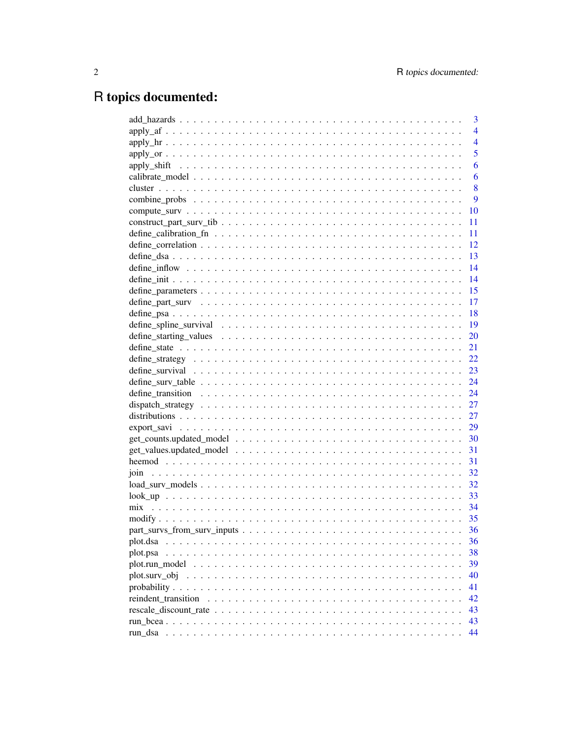# R topics documented:

|                                                                                                                            | 3              |
|----------------------------------------------------------------------------------------------------------------------------|----------------|
|                                                                                                                            | $\overline{4}$ |
|                                                                                                                            | $\overline{4}$ |
|                                                                                                                            | 5              |
|                                                                                                                            | 6              |
|                                                                                                                            | 6              |
|                                                                                                                            | 8              |
|                                                                                                                            | 9              |
|                                                                                                                            | 10             |
|                                                                                                                            | 11             |
|                                                                                                                            | 11             |
|                                                                                                                            | 12             |
|                                                                                                                            | 13             |
|                                                                                                                            | 14             |
|                                                                                                                            | 14             |
|                                                                                                                            | 15             |
|                                                                                                                            | 17             |
|                                                                                                                            | 18             |
|                                                                                                                            | 19             |
|                                                                                                                            | 20             |
|                                                                                                                            | 21             |
|                                                                                                                            | 22             |
|                                                                                                                            | 23             |
|                                                                                                                            | 24             |
|                                                                                                                            | 24             |
|                                                                                                                            | 27             |
|                                                                                                                            | 27             |
|                                                                                                                            | 29             |
|                                                                                                                            | 30             |
|                                                                                                                            | 31             |
|                                                                                                                            | 31             |
|                                                                                                                            | 32             |
|                                                                                                                            | 32             |
|                                                                                                                            | 33             |
|                                                                                                                            | 34             |
|                                                                                                                            | 35             |
|                                                                                                                            | 36             |
| plot.dsa<br>a dia kaominina mpikambana amin'ny fivondronan-kaominin'i Nouvelle-Aquitaine, ao amin'ny faritr'i Nouvelle-Aqu | 36             |
| plot.psa                                                                                                                   | 38             |
| plot.run model $\ldots \ldots \ldots \ldots \ldots \ldots \ldots \ldots \ldots \ldots \ldots \ldots \ldots$                | 39             |
| plot.surv_obj                                                                                                              | 40             |
|                                                                                                                            | 41             |
| reindent transition                                                                                                        | 42             |
|                                                                                                                            | 43             |
| run bcea.                                                                                                                  | 43             |
| run_dsa                                                                                                                    | 44             |
|                                                                                                                            |                |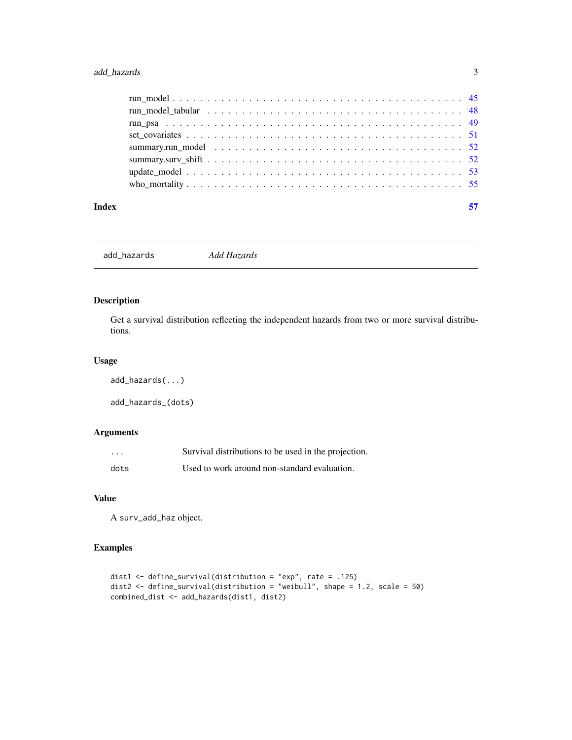## <span id="page-2-0"></span>add\_hazards 3

| Index |  |
|-------|--|
|       |  |
|       |  |
|       |  |
|       |  |
|       |  |
|       |  |
|       |  |
|       |  |

add\_hazards *Add Hazards*

## Description

Get a survival distribution reflecting the independent hazards from two or more survival distributions.

#### Usage

```
add_hazards(...)
add_hazards_(dots)
```
## Arguments

| .    | Survival distributions to be used in the projection. |
|------|------------------------------------------------------|
| dots | Used to work around non-standard evaluation.         |

## Value

A surv\_add\_haz object.

```
dist1 <- define_survival(distribution = "exp", rate = .125)
dist2 <- define_survival(distribution = "weibull", shape = 1.2, scale = 50)
combined_dist <- add_hazards(dist1, dist2)
```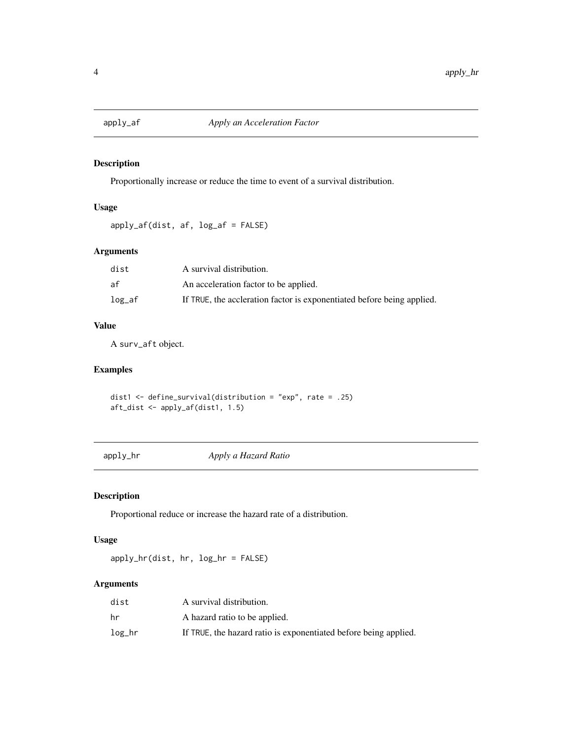<span id="page-3-0"></span>

## Description

Proportionally increase or reduce the time to event of a survival distribution.

#### Usage

apply\_af(dist, af, log\_af = FALSE)

## Arguments

| dist    | A survival distribution.                                               |
|---------|------------------------------------------------------------------------|
| af      | An acceleration factor to be applied.                                  |
| $log_a$ | If TRUE, the accleration factor is exponentiated before being applied. |

## Value

A surv\_aft object.

## Examples

dist1 <- define\_survival(distribution = "exp", rate = .25) aft\_dist <- apply\_af(dist1, 1.5)

apply\_hr *Apply a Hazard Ratio*

## Description

Proportional reduce or increase the hazard rate of a distribution.

## Usage

apply\_hr(dist, hr, log\_hr = FALSE)

#### Arguments

| dist   | A survival distribution.                                         |
|--------|------------------------------------------------------------------|
| hr     | A hazard ratio to be applied.                                    |
| log_hr | If TRUE, the hazard ratio is exponentiated before being applied. |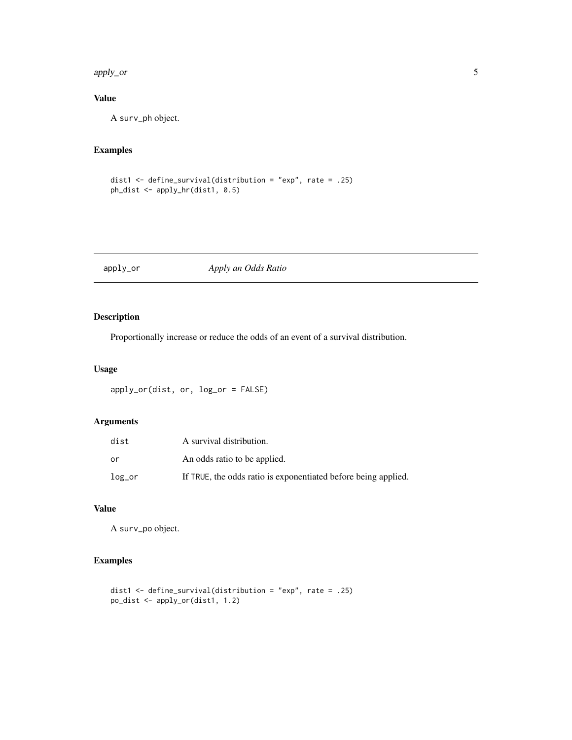<span id="page-4-0"></span>apply\_or 5

## Value

A surv\_ph object.

## Examples

```
dist1 <- define_survival(distribution = "exp", rate = .25)
ph_dist <- apply_hr(dist1, 0.5)
```
apply\_or *Apply an Odds Ratio*

## Description

Proportionally increase or reduce the odds of an event of a survival distribution.

#### Usage

apply\_or(dist, or, log\_or = FALSE)

#### Arguments

| dist   | A survival distribution.                                       |
|--------|----------------------------------------------------------------|
| ٥r     | An odds ratio to be applied.                                   |
| log_or | If TRUE, the odds ratio is exponentiated before being applied. |

## Value

A surv\_po object.

```
dist1 <- define_survival(distribution = "exp", rate = .25)
po_dist <- apply_or(dist1, 1.2)
```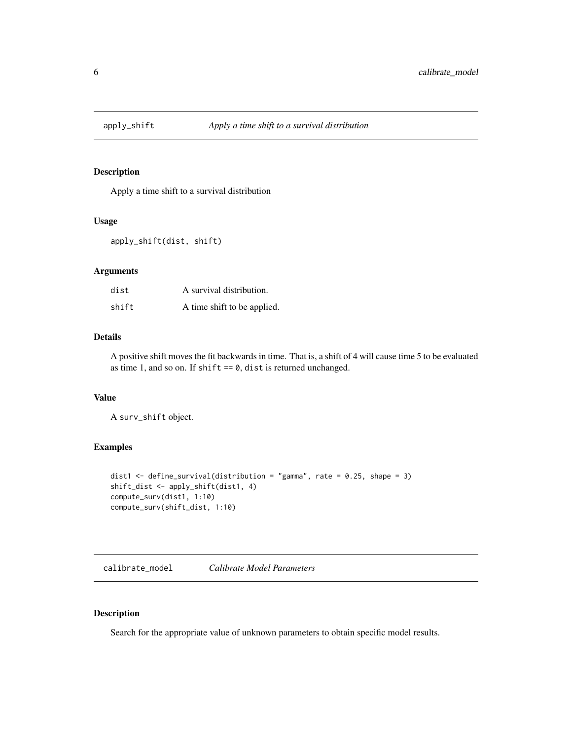<span id="page-5-0"></span>

#### Description

Apply a time shift to a survival distribution

#### Usage

apply\_shift(dist, shift)

#### Arguments

| dist  | A survival distribution.    |
|-------|-----------------------------|
| shift | A time shift to be applied. |

#### Details

A positive shift moves the fit backwards in time. That is, a shift of 4 will cause time 5 to be evaluated as time 1, and so on. If shift  $== 0$ , dist is returned unchanged.

#### Value

A surv\_shift object.

#### Examples

```
dist1 <- define_survival(distribution = "gamma", rate = 0.25, shape = 3)
shift_dist <- apply_shift(dist1, 4)
compute_surv(dist1, 1:10)
compute_surv(shift_dist, 1:10)
```
<span id="page-5-1"></span>calibrate\_model *Calibrate Model Parameters*

## Description

Search for the appropriate value of unknown parameters to obtain specific model results.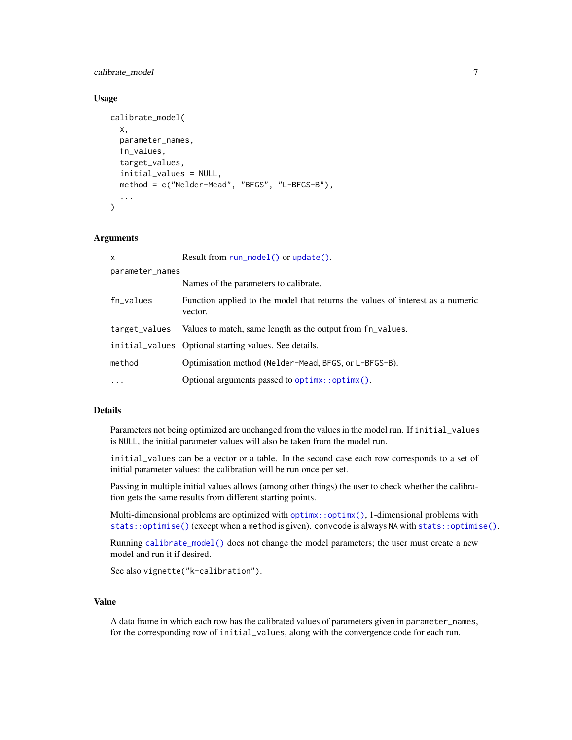<span id="page-6-0"></span>calibrate\_model 7 7

#### Usage

```
calibrate_model(
  x,
  parameter_names,
  fn_values,
  target_values,
  initial_values = NULL,
  method = c("Nelder-Mead", "BFGS", "L-BFGS-B"),
  ...
)
```
#### Arguments

| X               | Result from run_model() or update().                                                      |
|-----------------|-------------------------------------------------------------------------------------------|
| parameter_names |                                                                                           |
|                 | Names of the parameters to calibrate.                                                     |
| fn_values       | Function applied to the model that returns the values of interest as a numeric<br>vector. |
| target_values   | Values to match, same length as the output from fn_values.                                |
|                 | initial values Optional starting values. See details.                                     |
| method          | Optimisation method (Nelder-Mead, BFGS, or L-BFGS-B).                                     |
| $\cdot$         | Optional arguments passed to optimx::optimx().                                            |

## Details

Parameters not being optimized are unchanged from the values in the model run. If initial\_values is NULL, the initial parameter values will also be taken from the model run.

initial\_values can be a vector or a table. In the second case each row corresponds to a set of initial parameter values: the calibration will be run once per set.

Passing in multiple initial values allows (among other things) the user to check whether the calibration gets the same results from different starting points.

Multi-dimensional problems are optimized with [optimx::optimx\(\)](#page-0-0), 1-dimensional problems with [stats::optimise\(\)](#page-0-0) (except when a method is given). convcode is always NA with [stats::optimise\(\)](#page-0-0).

Running [calibrate\\_model\(\)](#page-5-1) does not change the model parameters; the user must create a new model and run it if desired.

See also vignette("k-calibration").

#### Value

A data frame in which each row has the calibrated values of parameters given in parameter\_names, for the corresponding row of initial\_values, along with the convergence code for each run.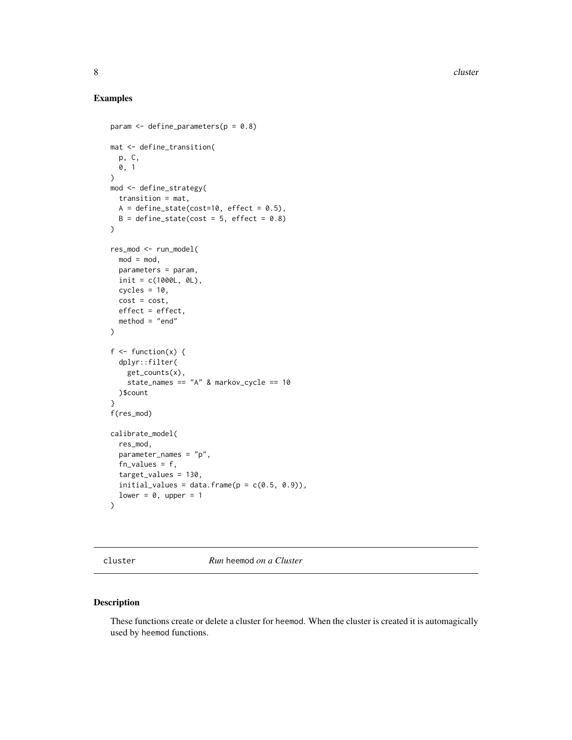8 cluster and the contract of the contract of the contract of the contract of the contract of the contract of the contract of the contract of the contract of the contract of the contract of the contract of the contract of

## Examples

```
param \leq define_parameters(p = 0.8)
mat <- define_transition(
  p, C,
  0, 1
\lambdamod <- define_strategy(
  transition = mat,
 A = define\_state(cost=10, effect = 0.5),
 B = define\_state(cost = 5, effect = 0.8)\lambdares_mod <- run_model(
 mod = mod,
 parameters = param,
 init = c(1000L, 0L),
  cycles = 10,cost = cost,effect = effect,
  method = "end")
f \leftarrow function(x) {
 dplyr::filter(
    get_counts(x),
    state_names == "A" & markov_cycle == 10
  )$count
}
f(res_mod)
calibrate_model(
  res_mod,
  parameter_names = "p",
  fn_values = f,
  target_values = 130,
  initial_values = data.frame(p = c(0.5, 0.9)),
  lower = 0, upper = 1
\lambda
```
cluster *Run* heemod *on a Cluster*

## <span id="page-7-1"></span>Description

These functions create or delete a cluster for heemod. When the cluster is created it is automagically used by heemod functions.

<span id="page-7-0"></span>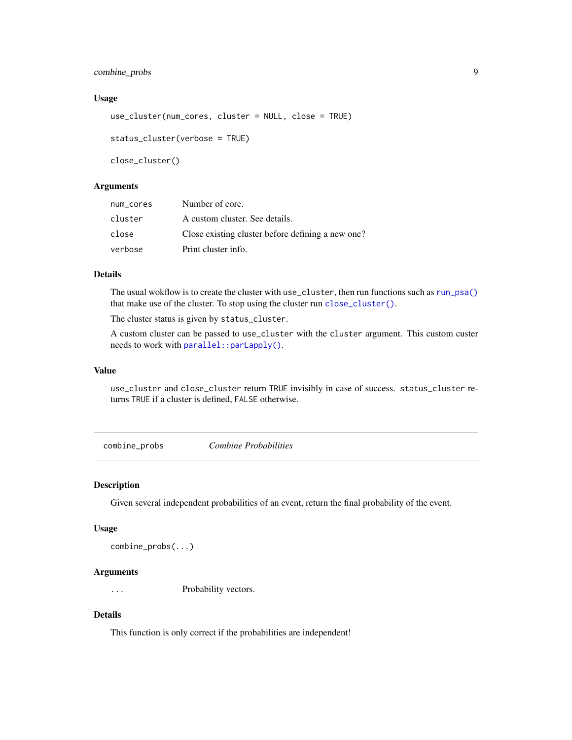## <span id="page-8-0"></span>combine\_probs 9

#### Usage

```
use_cluster(num_cores, cluster = NULL, close = TRUE)
status_cluster(verbose = TRUE)
```
close\_cluster()

## Arguments

| num_cores | Number of core.                                   |
|-----------|---------------------------------------------------|
| cluster   | A custom cluster. See details.                    |
| close     | Close existing cluster before defining a new one? |
| verbose   | Print cluster info.                               |

#### Details

The usual wokflow is to create the cluster with use\_cluster, then run functions such as [run\\_psa\(\)](#page-48-1) that make use of the cluster. To stop using the cluster run [close\\_cluster\(\)](#page-7-1).

The cluster status is given by status\_cluster.

A custom cluster can be passed to use\_cluster with the cluster argument. This custom custer needs to work with [parallel::parLapply\(\)](#page-0-0).

#### Value

use\_cluster and close\_cluster return TRUE invisibly in case of success. status\_cluster returns TRUE if a cluster is defined, FALSE otherwise.

combine\_probs *Combine Probabilities*

#### Description

Given several independent probabilities of an event, return the final probability of the event.

#### Usage

```
combine_probs(...)
```
#### Arguments

... Probability vectors.

#### Details

This function is only correct if the probabilities are independent!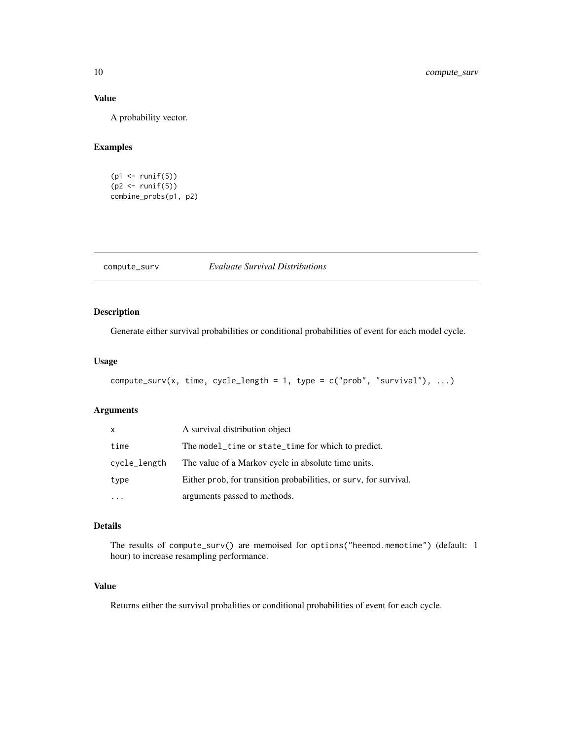## Value

A probability vector.

## Examples

```
(p1 <- runif(5))
(p2 <- runif(5))
combine_probs(p1, p2)
```
<span id="page-9-1"></span>compute\_surv *Evaluate Survival Distributions*

## Description

Generate either survival probabilities or conditional probabilities of event for each model cycle.

#### Usage

```
compute_surv(x, time, cycle_length = 1, type = c("prob", "survival"), ...)
```
## Arguments

| x            | A survival distribution object                                    |
|--------------|-------------------------------------------------------------------|
| time         | The model_time or state_time for which to predict.                |
| cycle_length | The value of a Markov cycle in absolute time units.               |
| type         | Either prob, for transition probabilities, or surv, for survival. |
| $\ddotsc$    | arguments passed to methods.                                      |

#### Details

The results of compute\_surv() are memoised for options("heemod.memotime") (default: 1 hour) to increase resampling performance.

## Value

Returns either the survival probalities or conditional probabilities of event for each cycle.

<span id="page-9-0"></span>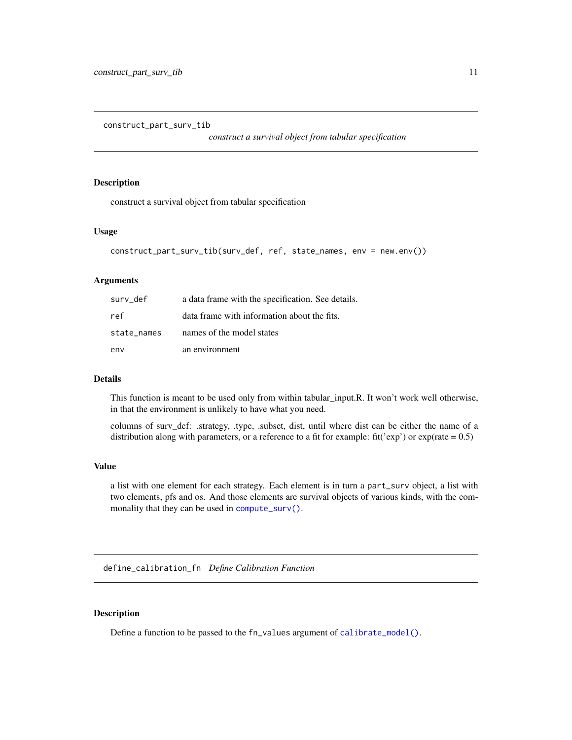<span id="page-10-0"></span>construct\_part\_surv\_tib

*construct a survival object from tabular specification*

#### Description

construct a survival object from tabular specification

#### Usage

```
construct_part_surv_tib(surv_def, ref, state_names, env = new.env())
```
#### Arguments

| surv def    | a data frame with the specification. See details. |
|-------------|---------------------------------------------------|
| ref         | data frame with information about the fits.       |
| state names | names of the model states                         |
| env         | an environment                                    |

#### Details

This function is meant to be used only from within tabular\_input.R. It won't work well otherwise, in that the environment is unlikely to have what you need.

columns of surv\_def: .strategy, .type, .subset, dist, until where dist can be either the name of a distribution along with parameters, or a reference to a fit for example: fit('exp') or  $exp(\text{rate} = 0.5)$ 

#### Value

a list with one element for each strategy. Each element is in turn a part\_surv object, a list with two elements, pfs and os. And those elements are survival objects of various kinds, with the commonality that they can be used in [compute\\_surv\(\)](#page-9-1).

define\_calibration\_fn *Define Calibration Function*

#### Description

Define a function to be passed to the fn\_values argument of [calibrate\\_model\(\)](#page-5-1).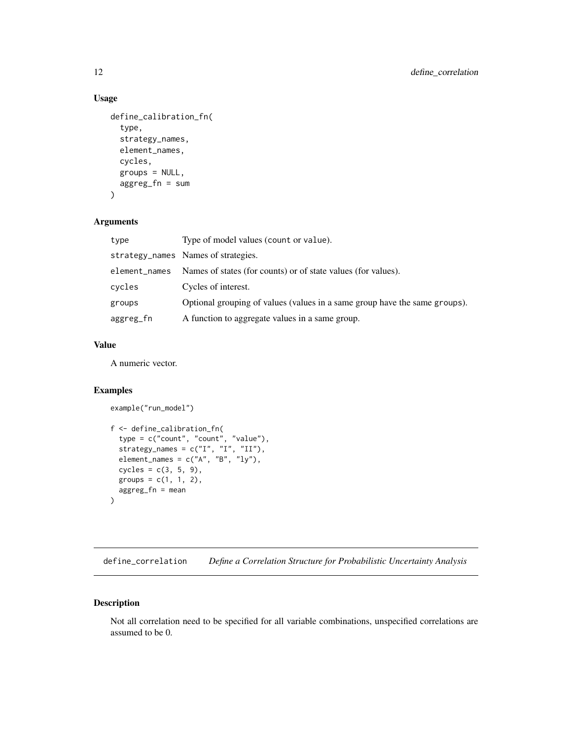## <span id="page-11-0"></span>Usage

```
define_calibration_fn(
  type,
  strategy_names,
  element_names,
  cycles,
  groups = NULL,
  aggreg_fn = sum
\mathcal{L}
```
## Arguments

| type          | Type of model values (count or value).                                     |
|---------------|----------------------------------------------------------------------------|
|               | strategy_names Names of strategies.                                        |
| element_names | Names of states (for counts) or of state values (for values).              |
| cycles        | Cycles of interest.                                                        |
| groups        | Optional grouping of values (values in a same group have the same groups). |
| aggreg_fn     | A function to aggregate values in a same group.                            |

## Value

A numeric vector.

## Examples

```
example("run_model")
```

```
f <- define_calibration_fn(
 type = c("count", "count", "value"),
  strategy_names = c("I", "I", "II"),element_names = c("A", "B", "ly"),cycles = c(3, 5, 9),groups = c(1, 1, 2),
 aggreg_fn = mean
)
```
<span id="page-11-1"></span>define\_correlation *Define a Correlation Structure for Probabilistic Uncertainty Analysis*

## Description

Not all correlation need to be specified for all variable combinations, unspecified correlations are assumed to be 0.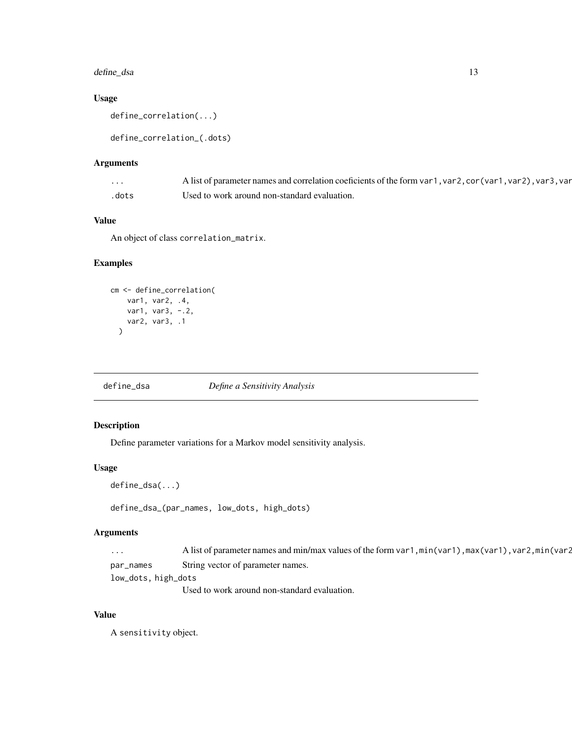## <span id="page-12-0"></span>define\_dsa 13

## Usage

define\_correlation(...)

define\_correlation\_(.dots)

#### Arguments

| $\cdot$ | A list of parameter names and correlation coeficients of the form var 1, var 2, cor (var 1, var 2), var 3, var |
|---------|----------------------------------------------------------------------------------------------------------------|
| .dots   | Used to work around non-standard evaluation.                                                                   |

## Value

An object of class correlation\_matrix.

## Examples

```
cm <- define_correlation(
   var1, var2, .4,
   var1, var3, -.2,
   var2, var3, .1
 )
```
<span id="page-12-1"></span>define\_dsa *Define a Sensitivity Analysis*

## Description

Define parameter variations for a Markov model sensitivity analysis.

#### Usage

```
define_dsa(...)
```
define\_dsa\_(par\_names, low\_dots, high\_dots)

## Arguments

| $\cdots$            | A list of parameter names and min/max values of the form var1, min(var1), max(var1), var2, min(var2 |  |
|---------------------|-----------------------------------------------------------------------------------------------------|--|
| par_names           | String vector of parameter names.                                                                   |  |
| low_dots, high_dots |                                                                                                     |  |

Used to work around non-standard evaluation.

## Value

A sensitivity object.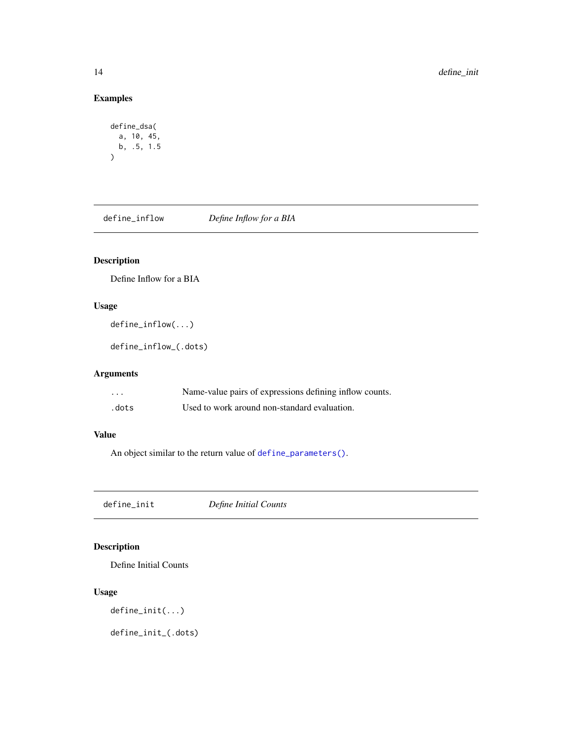## <span id="page-13-0"></span>Examples

```
define_dsa(
  a, 10, 45,
 b, .5, 1.5
)
```
<span id="page-13-2"></span>define\_inflow *Define Inflow for a BIA*

## Description

Define Inflow for a BIA

## Usage

define\_inflow(...)

define\_inflow\_(.dots)

## Arguments

| .     | Name-value pairs of expressions defining inflow counts. |
|-------|---------------------------------------------------------|
| .dots | Used to work around non-standard evaluation.            |

## Value

An object similar to the return value of [define\\_parameters\(\)](#page-14-1).

<span id="page-13-1"></span>define\_init *Define Initial Counts*

## Description

Define Initial Counts

## Usage

define\_init(...)

define\_init\_(.dots)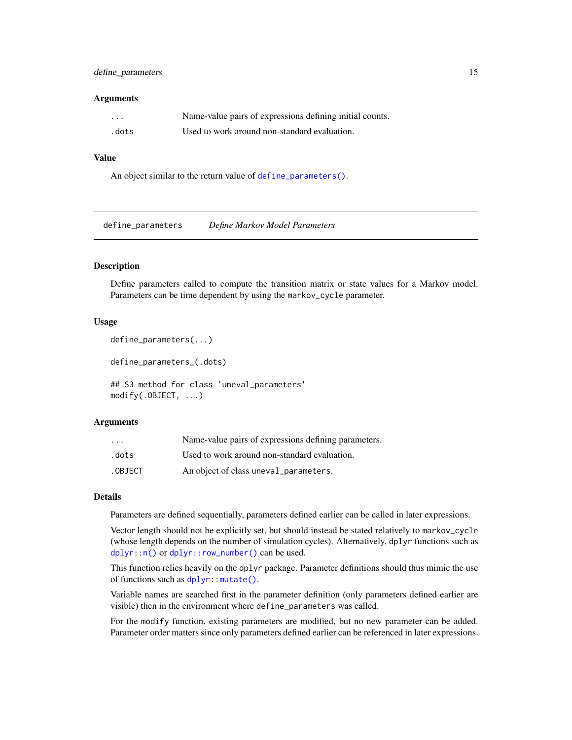## <span id="page-14-0"></span>define\_parameters 15

#### **Arguments**

| $\cdots$ | Name-value pairs of expressions defining initial counts. |
|----------|----------------------------------------------------------|
| .dots    | Used to work around non-standard evaluation.             |

#### Value

An object similar to the return value of [define\\_parameters\(\)](#page-14-1).

<span id="page-14-1"></span>define\_parameters *Define Markov Model Parameters*

#### Description

Define parameters called to compute the transition matrix or state values for a Markov model. Parameters can be time dependent by using the markov\_cycle parameter.

#### Usage

```
define_parameters(...)
```
define\_parameters\_(.dots)

## S3 method for class 'uneval\_parameters' modify(.OBJECT, ...)

#### Arguments

| $\cdot$ $\cdot$ $\cdot$ | Name-value pairs of expressions defining parameters. |
|-------------------------|------------------------------------------------------|
| .dots                   | Used to work around non-standard evaluation.         |
| .OBJECT                 | An object of class uneval_parameters.                |

#### Details

Parameters are defined sequentially, parameters defined earlier can be called in later expressions.

Vector length should not be explicitly set, but should instead be stated relatively to markov\_cycle (whose length depends on the number of simulation cycles). Alternatively, dplyr functions such as [dplyr::n\(\)](#page-0-0) or [dplyr::row\\_number\(\)](#page-0-0) can be used.

This function relies heavily on the dplyr package. Parameter definitions should thus mimic the use of functions such as dplyr:: mutate().

Variable names are searched first in the parameter definition (only parameters defined earlier are visible) then in the environment where define\_parameters was called.

For the modify function, existing parameters are modified, but no new parameter can be added. Parameter order matters since only parameters defined earlier can be referenced in later expressions.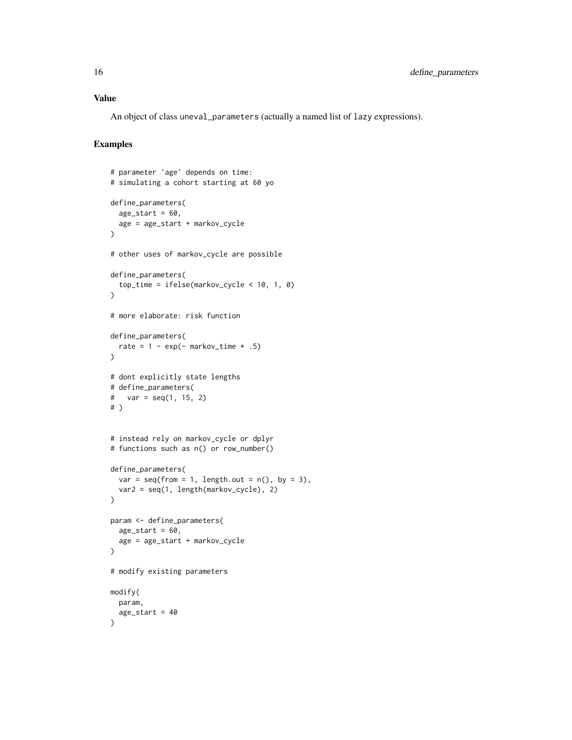#### Value

An object of class uneval\_parameters (actually a named list of lazy expressions).

```
# parameter 'age' depends on time:
# simulating a cohort starting at 60 yo
define_parameters(
  age\_start = 60,age = age_start + markov_cycle
\lambda# other uses of markov_cycle are possible
define_parameters(
  top_time = ifelse(markov_cycle < 10, 1, 0)
\lambda# more elaborate: risk function
define_parameters(
 rate = 1 - \exp(- \text{markov_time} * .5)\lambda# dont explicitly state lengths
# define_parameters(
# var = seq(1, 15, 2)# )
# instead rely on markov_cycle or dplyr
# functions such as n() or row_number()
define_parameters(
  var = seq(from = 1, length.out = n(), by = 3),var2 = seq(1, length(markov_cycle), 2)
)
param <- define_parameters(
  age_start = 60,
  age = age_start + markov_cycle
\lambda# modify existing parameters
modify(
  param,
  age_start = 40
\lambda
```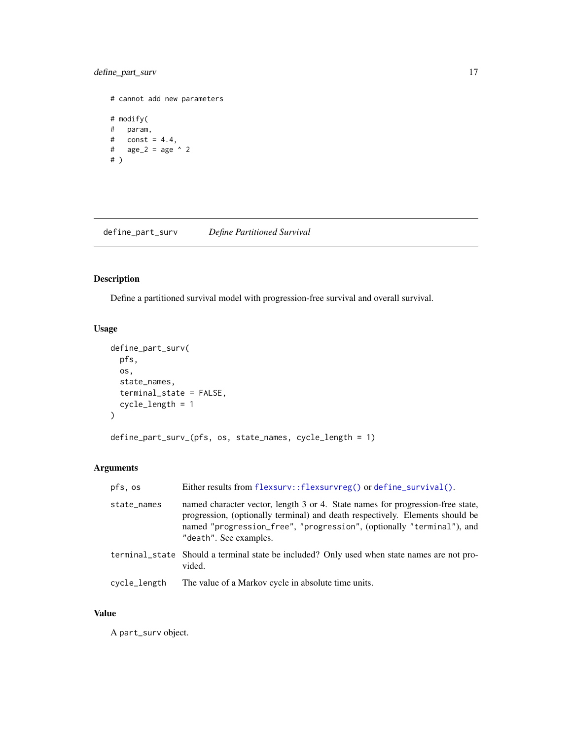## <span id="page-16-0"></span>define\_part\_surv 17

# cannot add new parameters # modify( # param, #  $const = 4.4,$ #  $age_2 = age ^ 2$ # )

define\_part\_surv *Define Partitioned Survival*

## Description

Define a partitioned survival model with progression-free survival and overall survival.

## Usage

```
define_part_surv(
 pfs,
 os,
 state_names,
 terminal_state = FALSE,
  cycle_length = 1
)
define_part_surv_(pfs, os, state_names, cycle_length = 1)
```
## Arguments

| pfs, os      | Either results from flexsurv::flexsurvreg() or define_survival().                                                                                                                                                                                                  |
|--------------|--------------------------------------------------------------------------------------------------------------------------------------------------------------------------------------------------------------------------------------------------------------------|
| state_names  | named character vector, length 3 or 4. State names for progression-free state,<br>progression, (optionally terminal) and death respectively. Elements should be<br>named "progression_free", "progression", (optionally "terminal"), and<br>"death". See examples. |
|              | terminal_state Should a terminal state be included? Only used when state names are not pro-<br>vided.                                                                                                                                                              |
| cycle_length | The value of a Markov cycle in absolute time units.                                                                                                                                                                                                                |

## Value

A part\_surv object.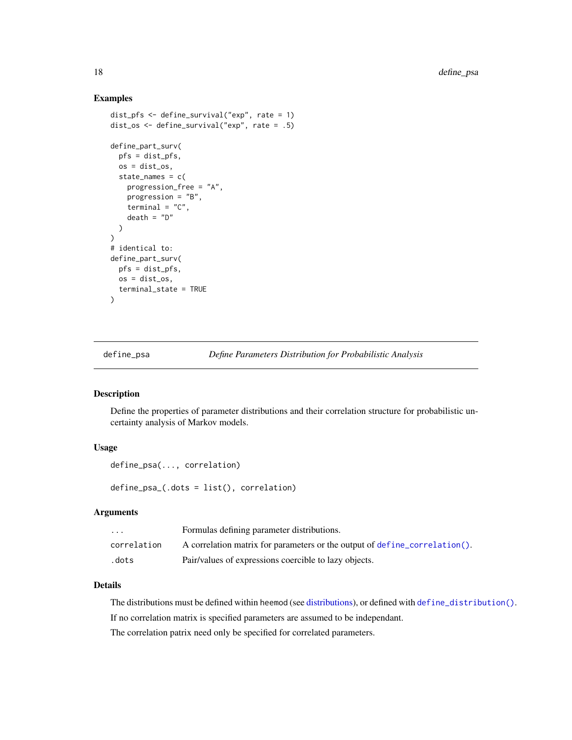#### Examples

```
dist_pfs <- define_survival("exp", rate = 1)
dist_os <- define_survival("exp", rate = .5)
define_part_surv(
  pfs = dist_pfs,
  os = dist_os,
  state_names = c(progression_free = "A",
    progression = "B",
    terminal = "C",death = "D")
\mathcal{L}# identical to:
define_part_surv(
  pfs = dist_pfs,
  os = dist_os,
  terminal_state = TRUE
\overline{\phantom{a}}
```
<span id="page-17-1"></span>define\_psa *Define Parameters Distribution for Probabilistic Analysis*

#### Description

Define the properties of parameter distributions and their correlation structure for probabilistic uncertainty analysis of Markov models.

#### Usage

```
define_psa(..., correlation)
```
define\_psa\_(.dots = list(), correlation)

#### Arguments

| $\cdots$    | Formulas defining parameter distributions.                                 |
|-------------|----------------------------------------------------------------------------|
| correlation | A correlation matrix for parameters or the output of define correlation(). |
| .dots       | Pair/values of expressions coercible to lazy objects.                      |

#### Details

The distributions must be defined within heemod (see [distributions\)](#page-26-1), or defined with [define\\_distribution\(\)](#page-26-2).

If no correlation matrix is specified parameters are assumed to be independant.

The correlation patrix need only be specified for correlated parameters.

<span id="page-17-0"></span>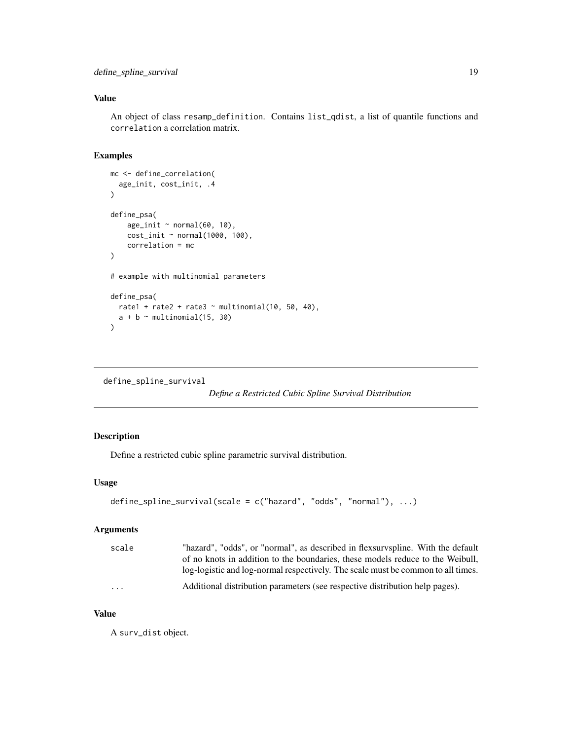## <span id="page-18-0"></span>Value

An object of class resamp\_definition. Contains list\_qdist, a list of quantile functions and correlation a correlation matrix.

#### Examples

```
mc <- define_correlation(
  age_init, cost_init, .4
\mathcal{L}define_psa(
    age\_init ~ normal(60, 10),
    cost_init ~ normal(1000, 100),
    correlation = mc
)
# example with multinomial parameters
define_psa(
 rate1 + rate2 + rate3 \sim multinomial(10, 50, 40),
  a + b \sim \text{multinomial}(15, 30)\lambda
```

```
define_spline_survival
```
*Define a Restricted Cubic Spline Survival Distribution*

## Description

Define a restricted cubic spline parametric survival distribution.

## Usage

```
define_spline_survival(scale = c("hazard", "odds", "normal"), ...)
```
#### Arguments

| scale                   | "hazard", "odds", or "normal", as described in flexsurvspline. With the default  |
|-------------------------|----------------------------------------------------------------------------------|
|                         | of no knots in addition to the boundaries, these models reduce to the Weibull,   |
|                         | log-logistic and log-normal respectively. The scale must be common to all times. |
| $\cdot$ $\cdot$ $\cdot$ | Additional distribution parameters (see respective distribution help pages).     |

#### Value

A surv\_dist object.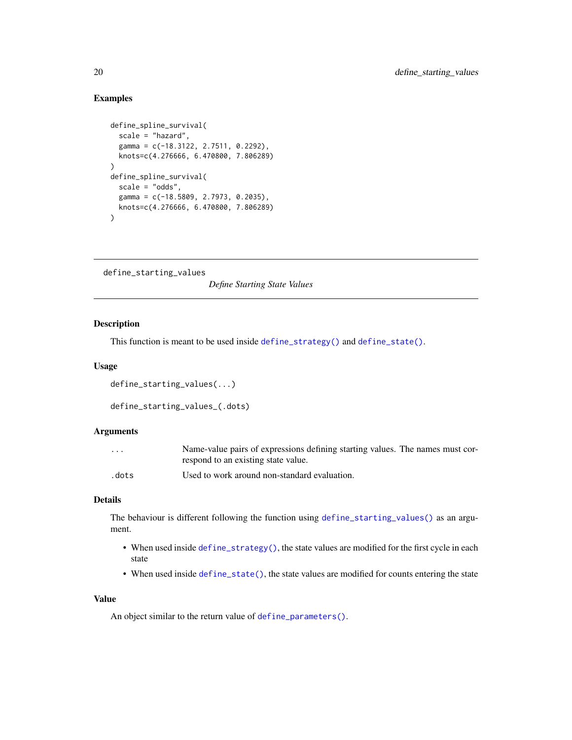#### Examples

```
define_spline_survival(
  scale = "hazard",
  gamma = c(-18.3122, 2.7511, 0.2292),
  knots=c(4.276666, 6.470800, 7.806289)
\mathcal{L}define_spline_survival(
  scale = "odds",
  gamma = c(-18.5809, 2.7973, 0.2035),
  knots=c(4.276666, 6.470800, 7.806289)
\lambda
```

```
define_starting_values
```
*Define Starting State Values*

## Description

This function is meant to be used inside [define\\_strategy\(\)](#page-21-1) and [define\\_state\(\)](#page-20-1).

#### Usage

```
define_starting_values(...)
```

```
define_starting_values_(.dots)
```
## Arguments

| $\cdots$ | Name-value pairs of expressions defining starting values. The names must cor- |
|----------|-------------------------------------------------------------------------------|
|          | respond to an existing state value.                                           |
| .dots    | Used to work around non-standard evaluation.                                  |

## Details

The behaviour is different following the function using [define\\_starting\\_values\(\)](#page-19-1) as an argument.

- When used inside [define\\_strategy\(\)](#page-21-1), the state values are modified for the first cycle in each state
- When used inside [define\\_state\(\)](#page-20-1), the state values are modified for counts entering the state

#### Value

An object similar to the return value of [define\\_parameters\(\)](#page-14-1).

<span id="page-19-0"></span>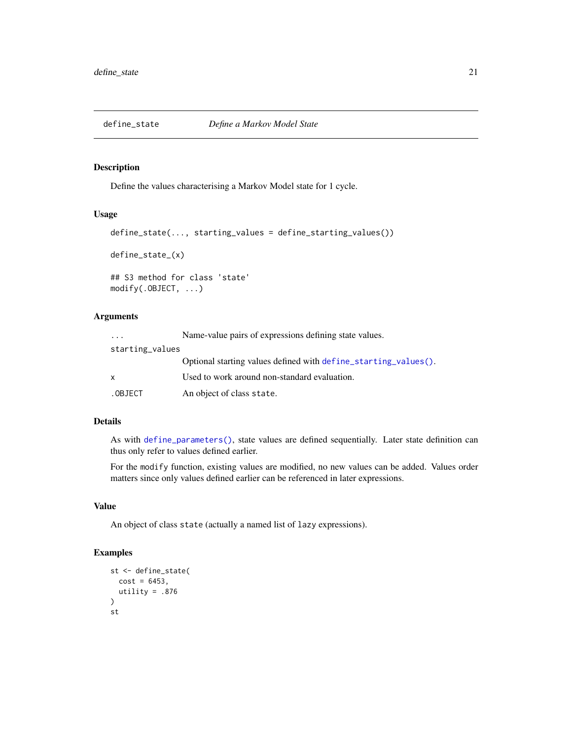<span id="page-20-1"></span><span id="page-20-0"></span>

#### Description

Define the values characterising a Markov Model state for 1 cycle.

#### Usage

```
define_state(..., starting_values = define_starting_values())
define_state_(x)
## S3 method for class 'state'
modify(.OBJECT, ...)
```
## Arguments

| $\cdot$ $\cdot$ $\cdot$ | Name-value pairs of expressions defining state values.          |
|-------------------------|-----------------------------------------------------------------|
| starting_values         |                                                                 |
|                         | Optional starting values defined with define starting values(). |
| X                       | Used to work around non-standard evaluation.                    |
| .OBJECT                 | An object of class state.                                       |

#### Details

As with [define\\_parameters\(\)](#page-14-1), state values are defined sequentially. Later state definition can thus only refer to values defined earlier.

For the modify function, existing values are modified, no new values can be added. Values order matters since only values defined earlier can be referenced in later expressions.

## Value

An object of class state (actually a named list of lazy expressions).

```
st <- define_state(
  cost = 6453,utility = .876
\overline{\phantom{a}}st
```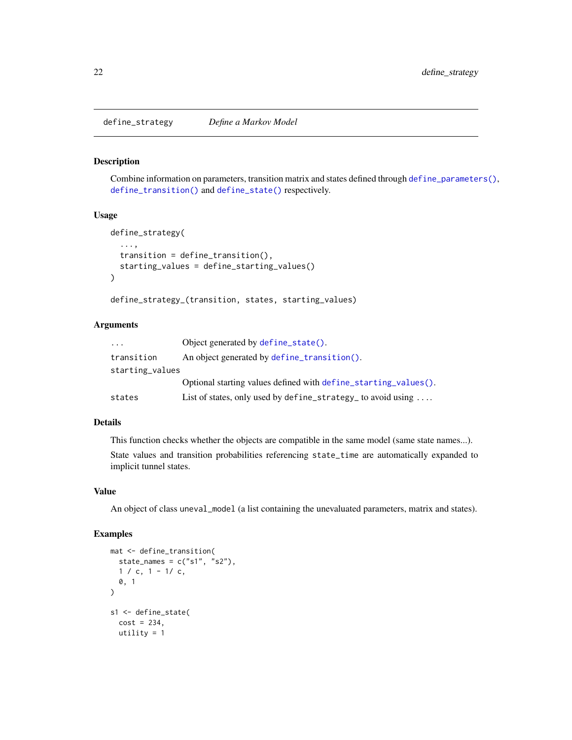<span id="page-21-1"></span><span id="page-21-0"></span>define\_strategy *Define a Markov Model*

#### Description

Combine information on parameters, transition matrix and states defined through [define\\_parameters\(\)](#page-14-1), [define\\_transition\(\)](#page-23-1) and [define\\_state\(\)](#page-20-1) respectively.

#### Usage

```
define_strategy(
  ...,
  transition = define_transition(),
  starting_values = define_starting_values()
\mathcal{L}
```

```
define_strategy_(transition, states, starting_values)
```
#### Arguments

| .               | Object generated by define_state().                                  |
|-----------------|----------------------------------------------------------------------|
| transition      | An object generated by define_transition().                          |
| starting_values |                                                                      |
|                 | Optional starting values defined with define_starting_values().      |
| states          | List of states, only used by define_strategy_ to avoid using $\dots$ |

## Details

This function checks whether the objects are compatible in the same model (same state names...).

State values and transition probabilities referencing state\_time are automatically expanded to implicit tunnel states.

## Value

An object of class uneval\_model (a list containing the unevaluated parameters, matrix and states).

```
mat <- define_transition(
  state_names = c("s1", "s2"),1 / c, 1 - 1/c,
  0, 1
)
s1 <- define_state(
  cost = 234,utility = 1
```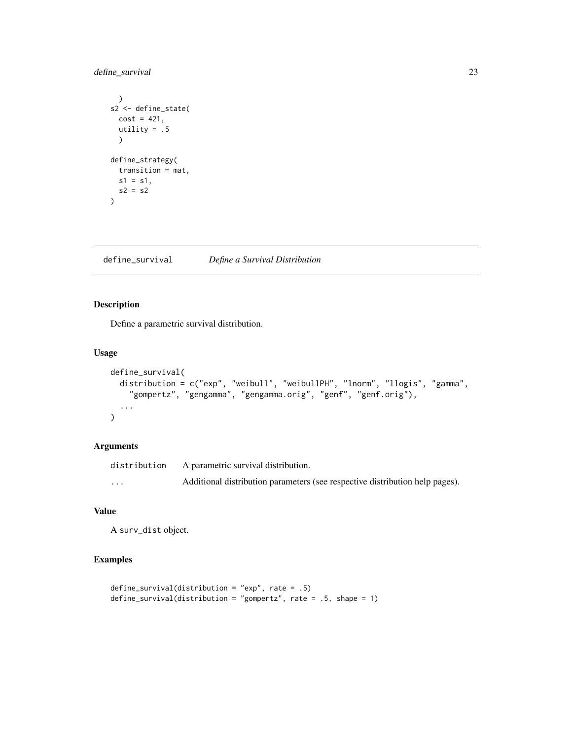## <span id="page-22-0"></span>define\_survival 23

```
\mathcal{L}s2 <- define_state(
  cost = 421,utility = .5\lambdadefine_strategy(
  transition = mat,
  s1 = s1,
  s2 = s2\overline{\phantom{a}}
```
<span id="page-22-1"></span>define\_survival *Define a Survival Distribution*

## Description

Define a parametric survival distribution.

#### Usage

```
define_survival(
  distribution = c("exp", "weibull", "weibullPH", "lnorm", "llogis", "gamma",
    "gompertz", "gengamma", "gengamma.orig", "genf", "genf.orig"),
  ...
\mathcal{L}
```
#### Arguments

| distribution | A parametric survival distribution.                                          |
|--------------|------------------------------------------------------------------------------|
| $\cdots$     | Additional distribution parameters (see respective distribution help pages). |

## Value

A surv\_dist object.

```
define_survival(distribution = "exp", rate = .5)
define_survival(distribution = "gompertz", rate = .5, shape = 1)
```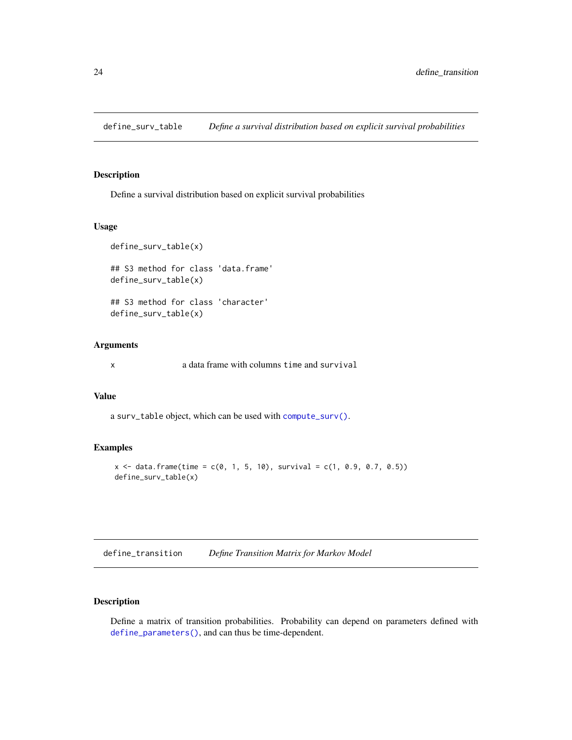<span id="page-23-0"></span>define\_surv\_table *Define a survival distribution based on explicit survival probabilities*

#### Description

Define a survival distribution based on explicit survival probabilities

## Usage

```
define_surv_table(x)
## S3 method for class 'data.frame'
define_surv_table(x)
## S3 method for class 'character'
define_surv_table(x)
```
#### **Arguments**

x a data frame with columns time and survival

## Value

a surv\_table object, which can be used with [compute\\_surv\(\)](#page-9-1).

#### Examples

```
x \le data.frame(time = c(0, 1, 5, 10), survival = c(1, 0.9, 0.7, 0.5))
define_surv_table(x)
```
<span id="page-23-1"></span>define\_transition *Define Transition Matrix for Markov Model*

## Description

Define a matrix of transition probabilities. Probability can depend on parameters defined with [define\\_parameters\(\)](#page-14-1), and can thus be time-dependent.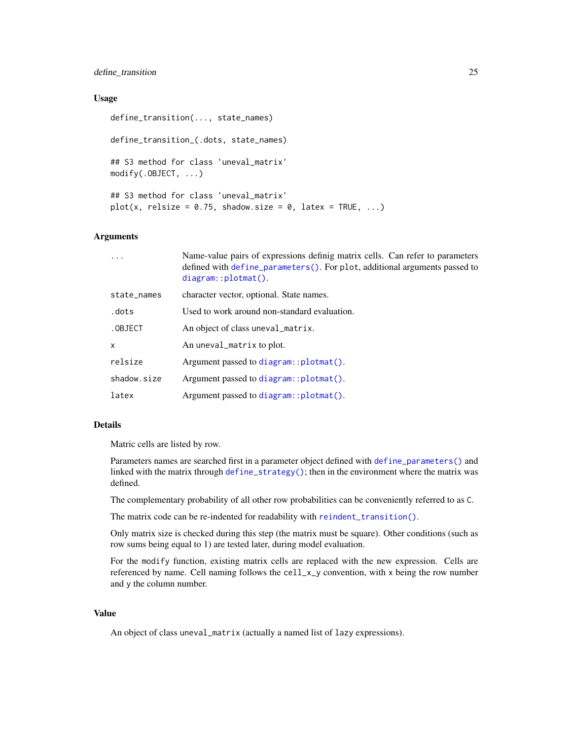#### <span id="page-24-0"></span>define\_transition 25

#### Usage

```
define_transition(..., state_names)
define_transition_(.dots, state_names)
## S3 method for class 'uneval_matrix'
modify(.OBJECT, ...)
## S3 method for class 'uneval_matrix'
plot(x, relsize = 0.75, shadow.size = 0, latex = TRUE, ...)
```
#### Arguments

|              | Name-value pairs of expressions definig matrix cells. Can refer to parameters<br>defined with define_parameters(). For plot, additional arguments passed to<br>$diagram::plotmat()$ . |
|--------------|---------------------------------------------------------------------------------------------------------------------------------------------------------------------------------------|
| state_names  | character vector, optional. State names.                                                                                                                                              |
| .dots        | Used to work around non-standard evaluation.                                                                                                                                          |
| .OBJECT      | An object of class uneval_matrix.                                                                                                                                                     |
| $\mathsf{x}$ | An uneval_matrix to plot.                                                                                                                                                             |
| relsize      | Argument passed to diagram::plotmat().                                                                                                                                                |
| shadow.size  | Argument passed to diagram::plotmat().                                                                                                                                                |
| latex        | Argument passed to diagram::plotmat().                                                                                                                                                |
|              |                                                                                                                                                                                       |

#### Details

Matric cells are listed by row.

Parameters names are searched first in a parameter object defined with [define\\_parameters\(\)](#page-14-1) and linked with the matrix through [define\\_strategy\(\)](#page-21-1); then in the environment where the matrix was defined.

The complementary probability of all other row probabilities can be conveniently referred to as C.

The matrix code can be re-indented for readability with [reindent\\_transition\(\)](#page-41-1).

Only matrix size is checked during this step (the matrix must be square). Other conditions (such as row sums being equal to 1) are tested later, during model evaluation.

For the modify function, existing matrix cells are replaced with the new expression. Cells are referenced by name. Cell naming follows the cell\_x\_y convention, with x being the row number and y the column number.

#### Value

An object of class uneval\_matrix (actually a named list of lazy expressions).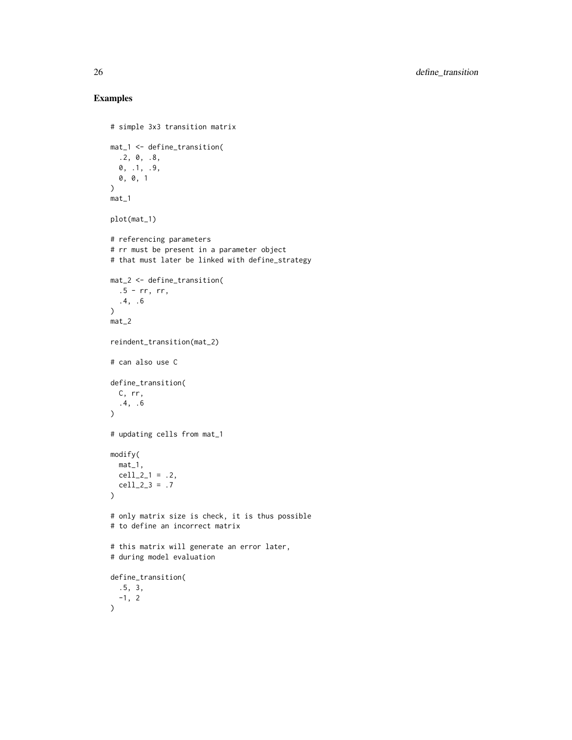```
# simple 3x3 transition matrix
mat_1 <- define_transition(
  .2, 0, .8,
  0, .1, .9,
 0, 0, 1
\lambdamat_1
plot(mat_1)
# referencing parameters
# rr must be present in a parameter object
# that must later be linked with define_strategy
mat_2 <- define_transition(
  .5 - rr, rr,.4, .6
\mathcal{L}mat_2
reindent_transition(mat_2)
# can also use C
define_transition(
  C, rr,
  .4, .6
\mathcal{L}# updating cells from mat_1
modify(
 mat_1,
 cell_2_1 = .2,cell_2_3 = .7)
# only matrix size is check, it is thus possible
# to define an incorrect matrix
# this matrix will generate an error later,
# during model evaluation
define_transition(
  .5, 3,
 -1, 2
\mathcal{L}
```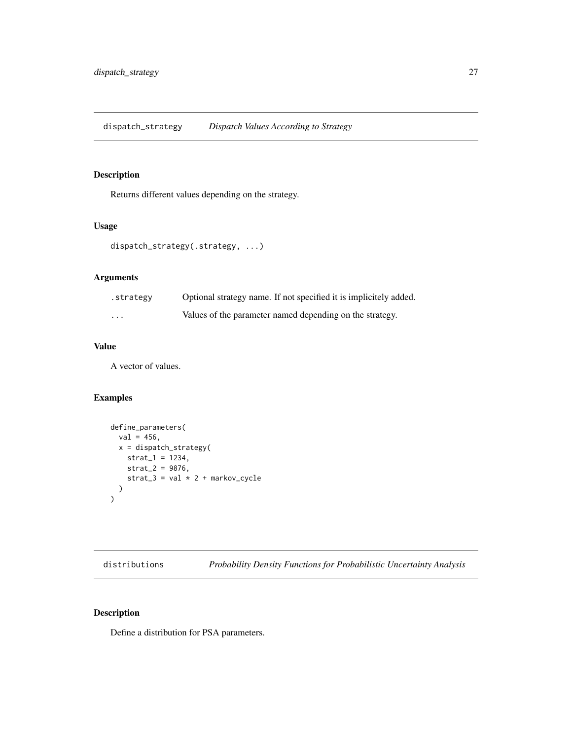## <span id="page-26-0"></span>Description

Returns different values depending on the strategy.

## Usage

```
dispatch_strategy(.strategy, ...)
```
## Arguments

| .strategy | Optional strategy name. If not specified it is implicitely added. |
|-----------|-------------------------------------------------------------------|
| $\cdots$  | Values of the parameter named depending on the strategy.          |

## Value

A vector of values.

## Examples

```
define_parameters(
  val = 456,x = dispatch_strategy(
   strat_1 = 1234,
   strat_2 = 9876,strat_3 = val * 2 + markov_cycle
 )
)
```
<span id="page-26-1"></span>distributions *Probability Density Functions for Probabilistic Uncertainty Analysis*

## <span id="page-26-2"></span>Description

Define a distribution for PSA parameters.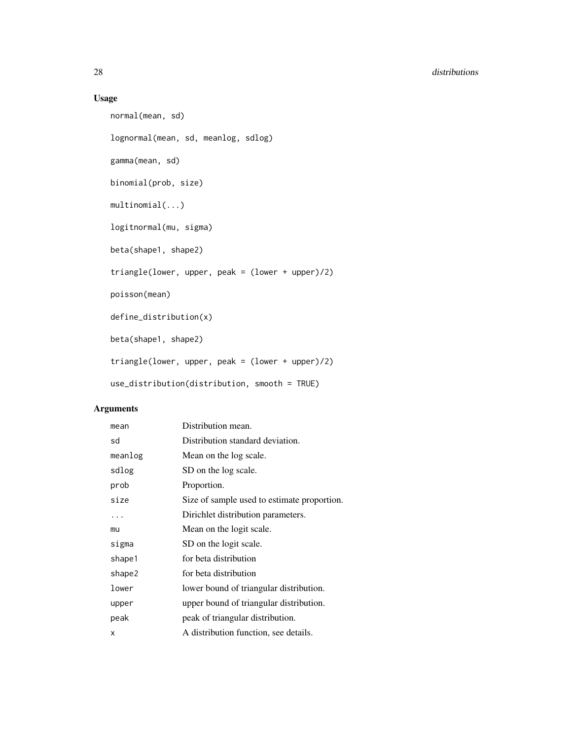## Usage

```
normal(mean, sd)
lognormal(mean, sd, meanlog, sdlog)
gamma(mean, sd)
binomial(prob, size)
multinomial(...)
logitnormal(mu, sigma)
beta(shape1, shape2)
triangle(lower, upper, peak = (lower + upper)/2)
poisson(mean)
define_distribution(x)
beta(shape1, shape2)
triangle(lower, upper, peak = (lower + upper)/2)
use_distribution(distribution, smooth = TRUE)
```
## Arguments

| mean    | Distribution mean.                          |
|---------|---------------------------------------------|
| sd      | Distribution standard deviation.            |
| meanlog | Mean on the log scale.                      |
| sdlog   | SD on the log scale.                        |
| prob    | Proportion.                                 |
| size    | Size of sample used to estimate proportion. |
| .       | Dirichlet distribution parameters.          |
| mu      | Mean on the logit scale.                    |
| sigma   | SD on the logit scale.                      |
| shape1  | for beta distribution                       |
| shape2  | for beta distribution                       |
| lower   | lower bound of triangular distribution.     |
| upper   | upper bound of triangular distribution.     |
| peak    | peak of triangular distribution.            |
| x       | A distribution function, see details.       |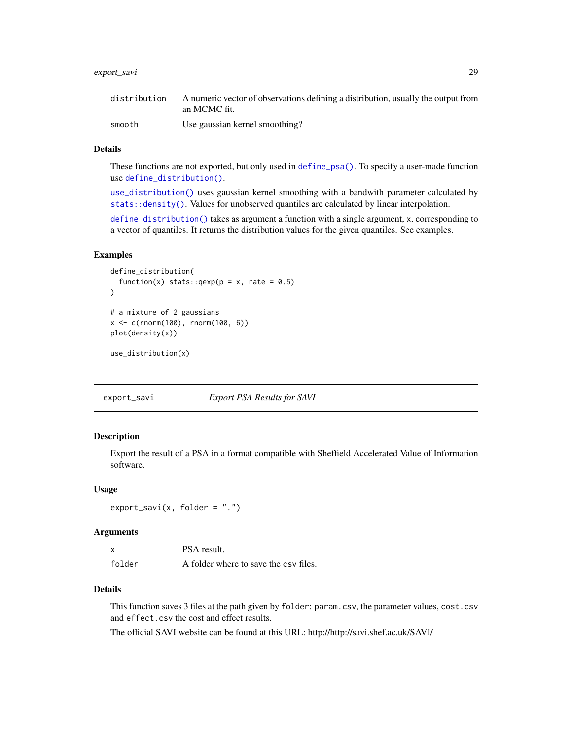## <span id="page-28-0"></span>export\_savi 29

| distribution | A numeric vector of observations defining a distribution, usually the output from |
|--------------|-----------------------------------------------------------------------------------|
|              | an MCMC fit.                                                                      |
| smooth       | Use gaussian kernel smoothing?                                                    |

#### Details

These functions are not exported, but only used in [define\\_psa\(\)](#page-17-1). To specify a user-made function use [define\\_distribution\(\)](#page-26-2).

[use\\_distribution\(\)](#page-26-2) uses gaussian kernel smoothing with a bandwith parameter calculated by [stats::density\(\)](#page-0-0). Values for unobserved quantiles are calculated by linear interpolation.

[define\\_distribution\(\)](#page-26-2) takes as argument a function with a single argument, x, corresponding to a vector of quantiles. It returns the distribution values for the given quantiles. See examples.

#### Examples

```
define_distribution(
 function(x) stats::qexp(p = x, rate = 0.5))
# a mixture of 2 gaussians
x < -c(rnorm(100), rnorm(100, 6))
plot(density(x))
```
use\_distribution(x)

export\_savi *Export PSA Results for SAVI*

#### Description

Export the result of a PSA in a format compatible with Sheffield Accelerated Value of Information software.

#### Usage

 $export\_savi(x, folder = ".'')$ 

#### **Arguments**

| x      | PSA result.                           |
|--------|---------------------------------------|
| folder | A folder where to save the csy files. |

#### Details

This function saves 3 files at the path given by folder: param.csv, the parameter values, cost.csv and effect.csv the cost and effect results.

The official SAVI website can be found at this URL: http://http://savi.shef.ac.uk/SAVI/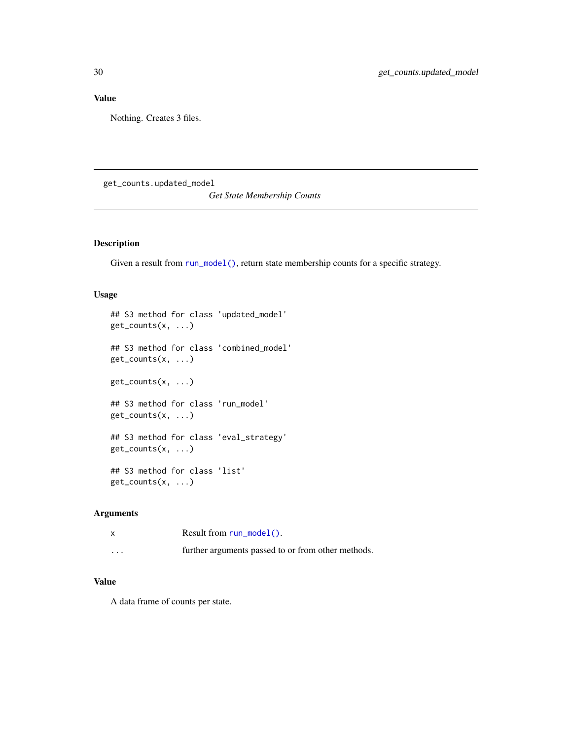## <span id="page-29-0"></span>Value

Nothing. Creates 3 files.

get\_counts.updated\_model

*Get State Membership Counts*

#### Description

Given a result from [run\\_model\(\)](#page-44-1), return state membership counts for a specific strategy.

## Usage

```
## S3 method for class 'updated_model'
get_counts(x, ...)
## S3 method for class 'combined_model'
get_counts(x, ...)
get_counts(x, ...)
## S3 method for class 'run_model'
get_counts(x, ...)
## S3 method for class 'eval_strategy'
get_counts(x, ...)
## S3 method for class 'list'
get_counts(x, ...)
```
## Arguments

|         | Result from $run_model()$ .                        |
|---------|----------------------------------------------------|
| $\cdot$ | further arguments passed to or from other methods. |

## Value

A data frame of counts per state.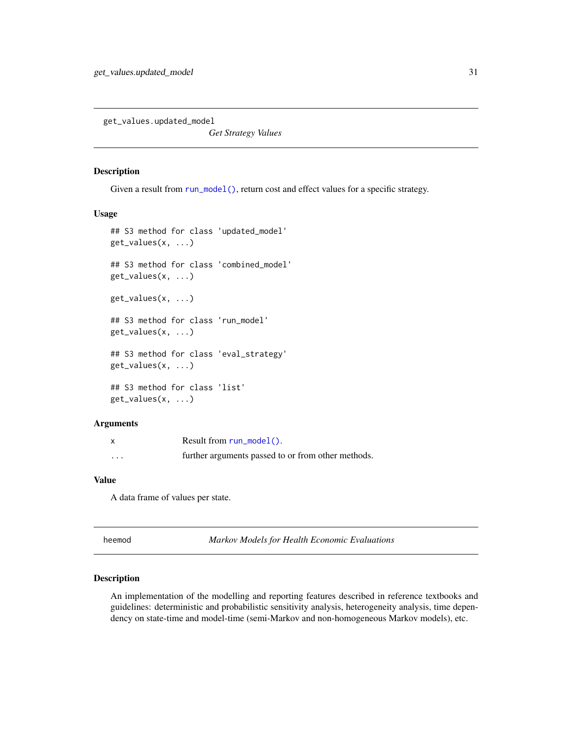<span id="page-30-0"></span>get\_values.updated\_model

*Get Strategy Values*

#### Description

Given a result from [run\\_model\(\)](#page-44-1), return cost and effect values for a specific strategy.

#### Usage

```
## S3 method for class 'updated_model'
get_values(x, ...)
## S3 method for class 'combined_model'
get_values(x, ...)
get_values(x, ...)
## S3 method for class 'run_model'
get_values(x, ...)
## S3 method for class 'eval_strategy'
get_values(x, ...)
## S3 method for class 'list'
get_values(x, ...)
```
#### **Arguments**

| X        | Result from $run_model()$ .                        |
|----------|----------------------------------------------------|
| $\cdots$ | further arguments passed to or from other methods. |

#### Value

A data frame of values per state.

| neemod |  |
|--------|--|
|--------|--|

heemod *Markov Models for Health Economic Evaluations*

## Description

An implementation of the modelling and reporting features described in reference textbooks and guidelines: deterministic and probabilistic sensitivity analysis, heterogeneity analysis, time dependency on state-time and model-time (semi-Markov and non-homogeneous Markov models), etc.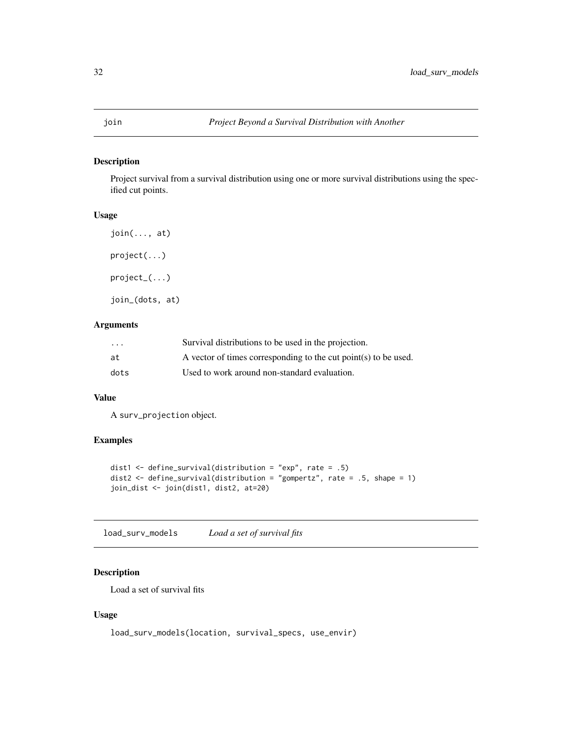## <span id="page-31-0"></span>Description

Project survival from a survival distribution using one or more survival distributions using the specified cut points.

## Usage

```
join(..., at)
project(...)
project_(...)
join_(dots, at)
```
## Arguments

| $\cdot$ $\cdot$ $\cdot$ | Survival distributions to be used in the projection.            |
|-------------------------|-----------------------------------------------------------------|
| at                      | A vector of times corresponding to the cut point(s) to be used. |
| dots                    | Used to work around non-standard evaluation.                    |

#### Value

A surv\_projection object.

## Examples

```
dist1 <- define_survival(distribution = "exp", rate = .5)
dist2 <- define_survival(distribution = "gompertz", rate = .5, shape = 1)
join_dist <- join(dist1, dist2, at=20)
```
load\_surv\_models *Load a set of survival fits*

## Description

Load a set of survival fits

## Usage

load\_surv\_models(location, survival\_specs, use\_envir)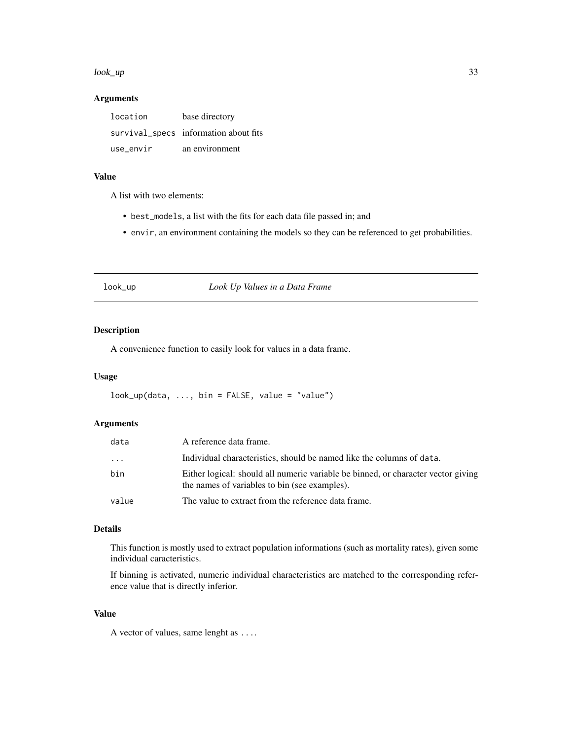#### <span id="page-32-0"></span>look\_up 33

### Arguments

| location  | base directory                        |
|-----------|---------------------------------------|
|           | survival_specs information about fits |
| use envir | an environment                        |

## Value

A list with two elements:

- best\_models, a list with the fits for each data file passed in; and
- envir, an environment containing the models so they can be referenced to get probabilities.

## look\_up *Look Up Values in a Data Frame*

## Description

A convenience function to easily look for values in a data frame.

#### Usage

 $look\_up(data, ..., bin = FALSE, value = "value")$ 

#### Arguments

| data     | A reference data frame.                                                                                                            |
|----------|------------------------------------------------------------------------------------------------------------------------------------|
| $\cdots$ | Individual characteristics, should be named like the columns of data.                                                              |
| bin      | Either logical: should all numeric variable be binned, or character vector giving<br>the names of variables to bin (see examples). |
| value    | The value to extract from the reference data frame.                                                                                |

#### Details

This function is mostly used to extract population informations (such as mortality rates), given some individual caracteristics.

If binning is activated, numeric individual characteristics are matched to the corresponding reference value that is directly inferior.

#### Value

A vector of values, same lenght as ....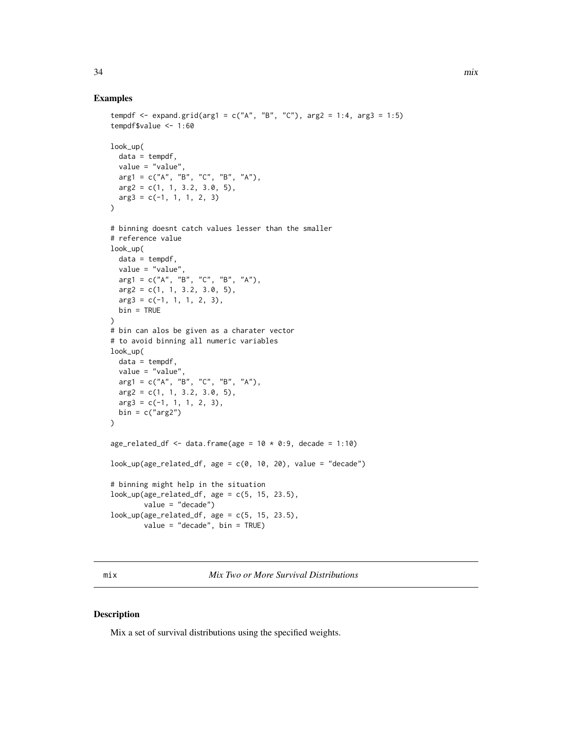#### Examples

```
tempdf <- expand.grid(arg1 = c("A", "B", "C"), arg2 = 1:4, arg3 = 1:5)
tempdf$value <- 1:60
look_up(
  data = tempdf,
  value = "value",
  arg1 = c("A", "B", "C", "B", "A"),
  arg2 = c(1, 1, 3.2, 3.0, 5),arg3 = c(-1, 1, 1, 2, 3)\lambda# binning doesnt catch values lesser than the smaller
# reference value
look_up(
 data = tempdf,
 value = "value",
  arg1 = c("A", "B", "C", "B", "A"),
  arg2 = c(1, 1, 3.2, 3.0, 5),arg3 = c(-1, 1, 1, 2, 3),
  bin = TRUE
)
# bin can alos be given as a charater vector
# to avoid binning all numeric variables
look_up(
  data = tempdf,
  value = "value",
  arg1 = c("A", "B", "C", "B", "A"),
  arg2 = c(1, 1, 3.2, 3.0, 5),arg3 = c(-1, 1, 1, 2, 3),bin = c("arg2")\mathcal{L}age_related_df <- data.frame(age = 10 * 0:9, decade = 1:10)
look\_up(age\_related\_df, age = c(0, 10, 20), value = "decade")# binning might help in the situation
look_up(age_related_df, age = c(5, 15, 23.5),
        value = "decade")
look_up(age-related_df, age = c(5, 15, 23.5)),value = "decade", bin = TRUE)
```
mix *Mix Two or More Survival Distributions*

#### Description

Mix a set of survival distributions using the specified weights.

<span id="page-33-0"></span>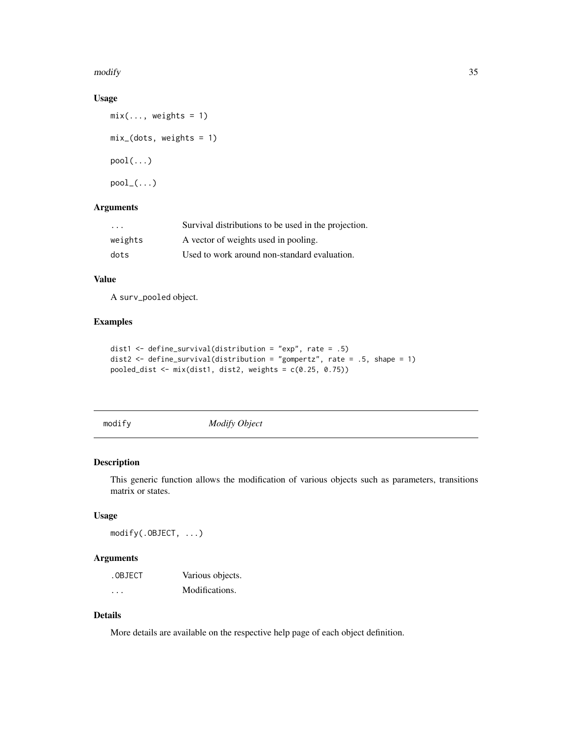<span id="page-34-0"></span>modify 35

## Usage

```
mix(\ldots, weights = 1)mix_(dots, weights = 1)
pool(...)pool_{-}(\ldots)
```
## Arguments

| .       | Survival distributions to be used in the projection. |
|---------|------------------------------------------------------|
| weights | A vector of weights used in pooling.                 |
| dots    | Used to work around non-standard evaluation.         |

#### Value

A surv\_pooled object.

## Examples

```
dist1 <- define_survival(distribution = "exp", rate = .5)
dist2 <- define_survival(distribution = "gompertz", rate = .5, shape = 1)
pooled_dist <- mix(dist1, dist2, weights = c(0.25, 0.75))
```
modify *Modify Object*

## Description

This generic function allows the modification of various objects such as parameters, transitions matrix or states.

#### Usage

modify(.OBJECT, ...)

## Arguments

| .OBJECT  | Various objects. |
|----------|------------------|
| $\cdots$ | Modifications.   |

## Details

More details are available on the respective help page of each object definition.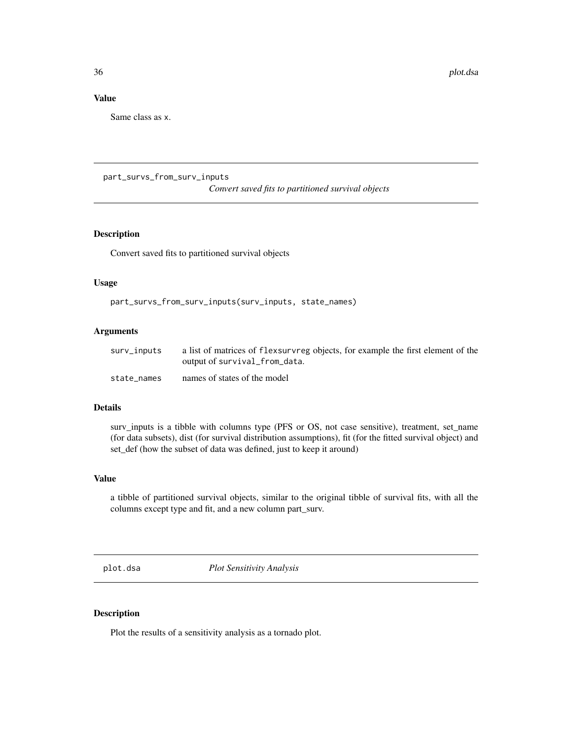### <span id="page-35-0"></span>Value

Same class as x.

part\_survs\_from\_surv\_inputs

*Convert saved fits to partitioned survival objects*

## Description

Convert saved fits to partitioned survival objects

### Usage

part\_survs\_from\_surv\_inputs(surv\_inputs, state\_names)

#### Arguments

| surv_inputs | a list of matrices of flexsurvreg objects, for example the first element of the |
|-------------|---------------------------------------------------------------------------------|
|             | output of survival_from_data.                                                   |
| state names | names of states of the model                                                    |

#### Details

surv\_inputs is a tibble with columns type (PFS or OS, not case sensitive), treatment, set\_name (for data subsets), dist (for survival distribution assumptions), fit (for the fitted survival object) and set\_def (how the subset of data was defined, just to keep it around)

#### Value

a tibble of partitioned survival objects, similar to the original tibble of survival fits, with all the columns except type and fit, and a new column part\_surv.

plot.dsa *Plot Sensitivity Analysis*

#### Description

Plot the results of a sensitivity analysis as a tornado plot.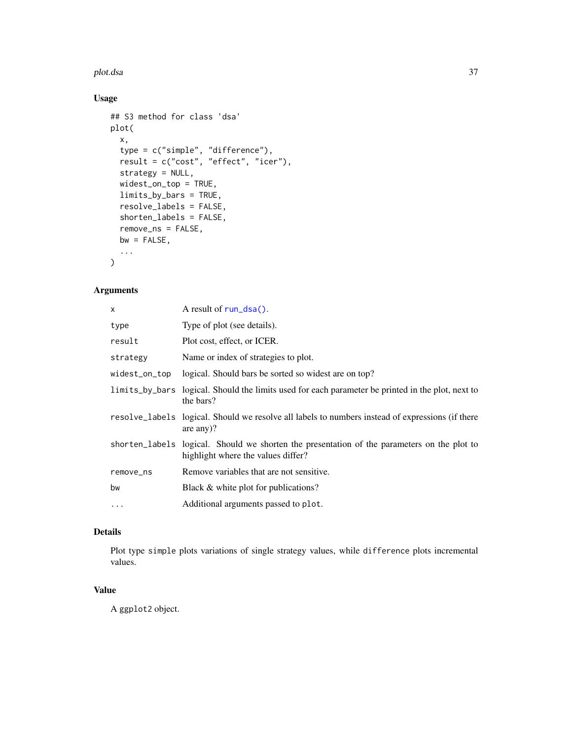#### <span id="page-36-0"></span>plot.dsa 37

## Usage

```
## S3 method for class 'dsa'
plot(
 x,
  type = c("simple", "difference"),
 result = c("cost", "effect", "icer"),
 strategy = NULL,
 widest_on_top = TRUE,
 limits_by_bars = TRUE,
 resolve_labels = FALSE,
 shorten_labels = FALSE,
 remove_ns = FALSE,
 bw = FALSE,...
)
```
## Arguments

| x             | A result of $run\_dsa()$ .                                                                                                        |
|---------------|-----------------------------------------------------------------------------------------------------------------------------------|
| type          | Type of plot (see details).                                                                                                       |
| result        | Plot cost, effect, or ICER.                                                                                                       |
| strategy      | Name or index of strategies to plot.                                                                                              |
| widest_on_top | logical. Should bars be sorted so widest are on top?                                                                              |
|               | limits_by_bars logical. Should the limits used for each parameter be printed in the plot, next to<br>the bars?                    |
|               | resolve_labels logical. Should we resolve all labels to numbers instead of expressions (if there<br>are any $)$ ?                 |
|               | shorten_labels logical. Should we shorten the presentation of the parameters on the plot to<br>highlight where the values differ? |
| remove_ns     | Remove variables that are not sensitive.                                                                                          |
| bw            | Black & white plot for publications?                                                                                              |
| $\cdots$      | Additional arguments passed to plot.                                                                                              |

## Details

Plot type simple plots variations of single strategy values, while difference plots incremental values.

## Value

A ggplot2 object.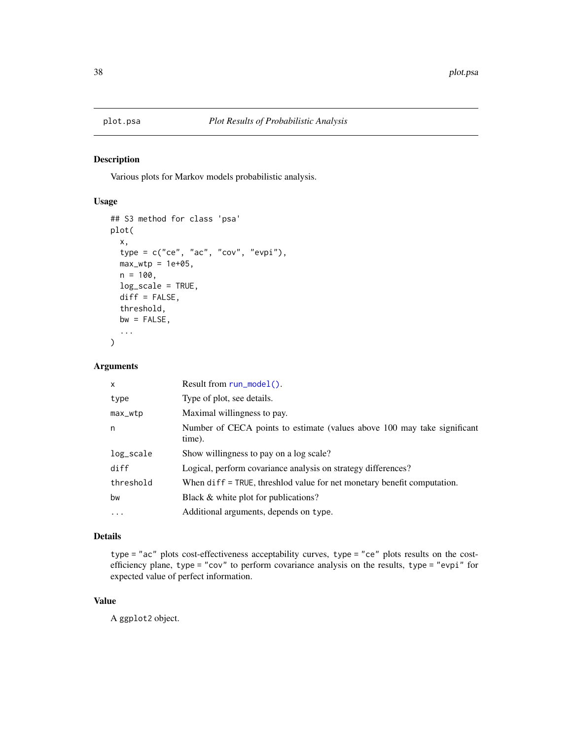<span id="page-37-0"></span>

#### Description

Various plots for Markov models probabilistic analysis.

## Usage

```
## S3 method for class 'psa'
plot(
  x,
  type = c("ce", "ac", "cov", "evpi"),max_wtp = 1e+05,
 n = 100,
 log_scale = TRUE,
 diff = FALSE,
  threshold,
 bw = FALSE,...
)
```
## Arguments

| $\mathsf{x}$ | Result from $run_model()$ .                                                        |
|--------------|------------------------------------------------------------------------------------|
| type         | Type of plot, see details.                                                         |
| max_wtp      | Maximal willingness to pay.                                                        |
| n            | Number of CECA points to estimate (values above 100 may take significant<br>time). |
| log_scale    | Show willingness to pay on a log scale?                                            |
| diff         | Logical, perform covariance analysis on strategy differences?                      |
| threshold    | When $diff = TRUE$ , threshold value for net monetary benefit computation.         |
| bw           | Black & white plot for publications?                                               |
| .            | Additional arguments, depends on type.                                             |
|              |                                                                                    |

## Details

type = "ac" plots cost-effectiveness acceptability curves, type = "ce" plots results on the costefficiency plane, type = "cov" to perform covariance analysis on the results, type = "evpi" for expected value of perfect information.

## Value

A ggplot2 object.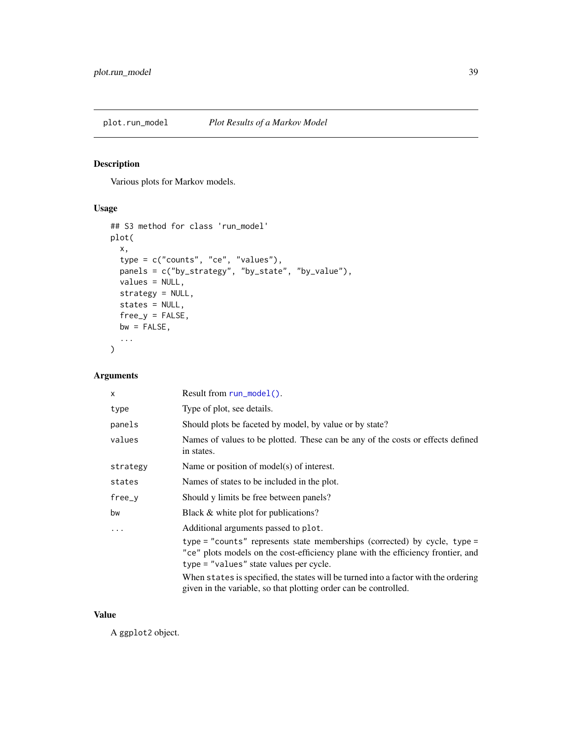<span id="page-38-0"></span>

## Description

Various plots for Markov models.

## Usage

```
## S3 method for class 'run_model'
plot(
  x,
  type = c("counts", "ce", "values"),
  panels = c("by_strategy", "by_state", "by_value"),
  values = NULL,
  strategy = NULL,
  states = NULL,
  free_y = FALSE,bw = FALSE,...
\mathcal{L}
```
## Arguments

| X        | Result from run_model().                                                                                                                                                                                 |
|----------|----------------------------------------------------------------------------------------------------------------------------------------------------------------------------------------------------------|
| type     | Type of plot, see details.                                                                                                                                                                               |
| panels   | Should plots be faceted by model, by value or by state?                                                                                                                                                  |
| values   | Names of values to be plotted. These can be any of the costs or effects defined<br>in states.                                                                                                            |
| strategy | Name or position of model(s) of interest.                                                                                                                                                                |
| states   | Names of states to be included in the plot.                                                                                                                                                              |
| $free_y$ | Should y limits be free between panels?                                                                                                                                                                  |
| bw       | Black & white plot for publications?                                                                                                                                                                     |
| .        | Additional arguments passed to plot.                                                                                                                                                                     |
|          | type = "counts" represents state memberships (corrected) by cycle, type =<br>"ce" plots models on the cost-efficiency plane with the efficiency frontier, and<br>type = "values" state values per cycle. |
|          | When states is specified, the states will be turned into a factor with the ordering<br>given in the variable, so that plotting order can be controlled.                                                  |

#### Value

A ggplot2 object.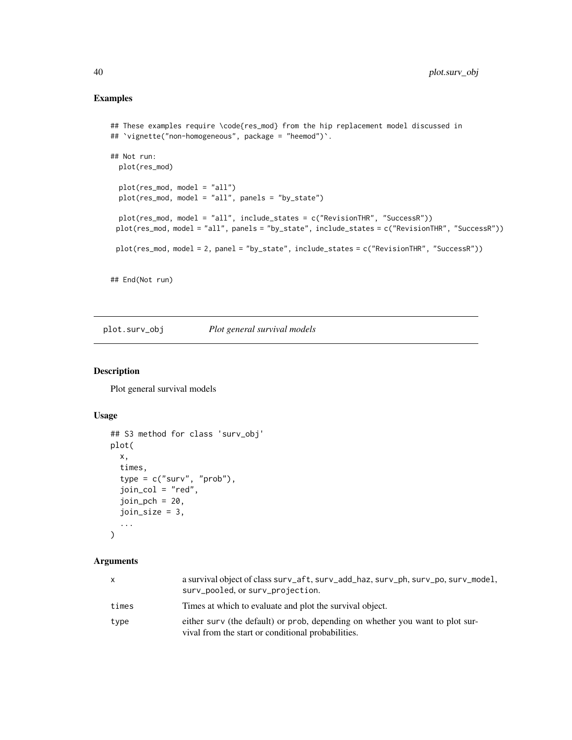## Examples

```
## These examples require \code{res_mod} from the hip replacement model discussed in
## `vignette("non-homogeneous", package = "heemod")`.
## Not run:
  plot(res_mod)
  plot(res_mod, model = "all")
  plot(res_mod, model = "all", panels = "by_state")
  plot(res_mod, model = "all", include_states = c("RevisionTHR", "SuccessR"))
 plot(res_mod, model = "all", panels = "by_state", include_states = c("RevisionTHR", "SuccessR"))
 plot(res_mod, model = 2, panel = "by_state", include_states = c("RevisionTHR", "SuccessR"))
## End(Not run)
```
plot.surv\_obj *Plot general survival models*

## Description

Plot general survival models

## Usage

```
## S3 method for class 'surv_obj'
plot(
  x,
  times,
  type = c("surv", "prob"),
  join_col = "red",
  join\_pch = 20,
  join_size = 3,
  ...
\mathcal{L}
```
#### Arguments

| X     | a survival object of class surv_aft, surv_add_haz, surv_ph, surv_po, surv_model,<br>surv_pooled, or surv_projection.                |
|-------|-------------------------------------------------------------------------------------------------------------------------------------|
| times | Times at which to evaluate and plot the survival object.                                                                            |
| type  | either surv (the default) or prob, depending on whether you want to plot sur-<br>vival from the start or conditional probabilities. |

<span id="page-39-0"></span>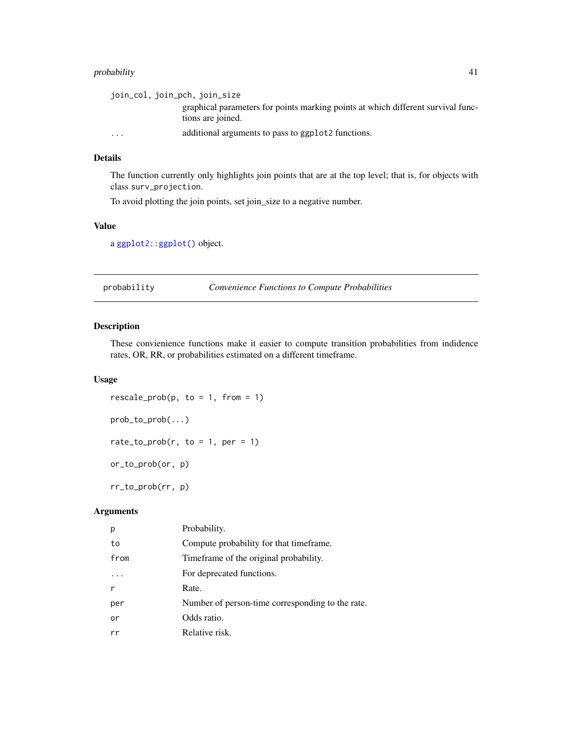## <span id="page-40-0"></span>probability 41

| join_col, join_pch, join_size |                                                                                                       |
|-------------------------------|-------------------------------------------------------------------------------------------------------|
|                               | graphical parameters for points marking points at which different survival func-<br>tions are joined. |
| $\cdot$ $\cdot$ $\cdot$       | additional arguments to pass to ggplot2 functions.                                                    |

#### Details

The function currently only highlights join points that are at the top level; that is, for objects with class surv\_projection.

To avoid plotting the join points, set join\_size to a negative number.

## Value

a [ggplot2::ggplot\(\)](#page-0-0) object.

probability *Convenience Functions to Compute Probabilities*

#### Description

These convienience functions make it easier to compute transition probabilities from indidence rates, OR, RR, or probabilities estimated on a different timeframe.

#### Usage

 $rescale_prob(p, to = 1, from = 1)$ prob\_to\_prob(...) rate\_to\_prob(r, to = 1, per = 1) or\_to\_prob(or, p) rr\_to\_prob(rr, p)

## Arguments

| p    | Probability.                                     |
|------|--------------------------------------------------|
| to   | Compute probability for that time frame.         |
| from | Time frame of the original probability.          |
|      | For deprecated functions.                        |
| r    | Rate.                                            |
| per  | Number of person-time corresponding to the rate. |
| or   | Odds ratio.                                      |
| rr   | Relative risk.                                   |
|      |                                                  |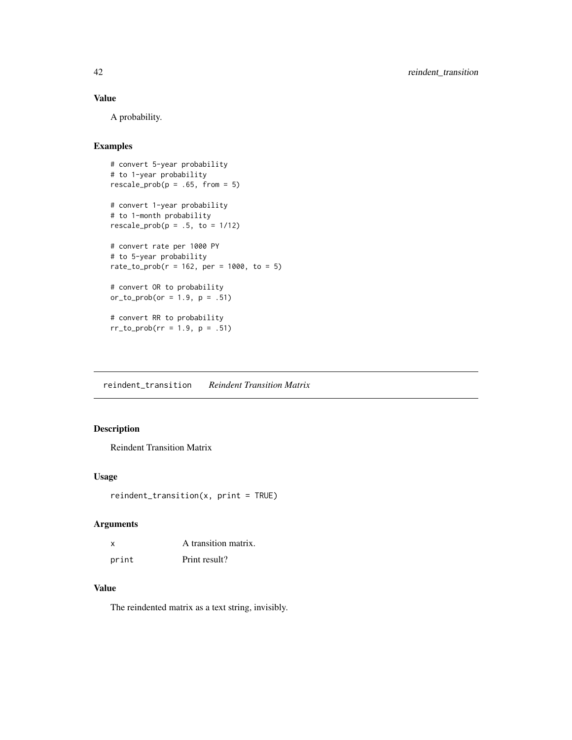## <span id="page-41-0"></span>Value

A probability.

## Examples

```
# convert 5-year probability
# to 1-year probability
rescale_prob(p = .65, from = 5)# convert 1-year probability
# to 1-month probability
rescale_prob(p = .5, to = 1/12)# convert rate per 1000 PY
# to 5-year probability
rate_to_prob(r = 162, per = 1000, to = 5)# convert OR to probability
or_to_prob(or = 1.9, p = .51)# convert RR to probability
rr_to_prob(rr = 1.9, p = .51)
```
<span id="page-41-1"></span>reindent\_transition *Reindent Transition Matrix*

## Description

Reindent Transition Matrix

#### Usage

```
reindent_transition(x, print = TRUE)
```
## Arguments

| x     | A transition matrix. |
|-------|----------------------|
| print | Print result?        |

#### Value

The reindented matrix as a text string, invisibly.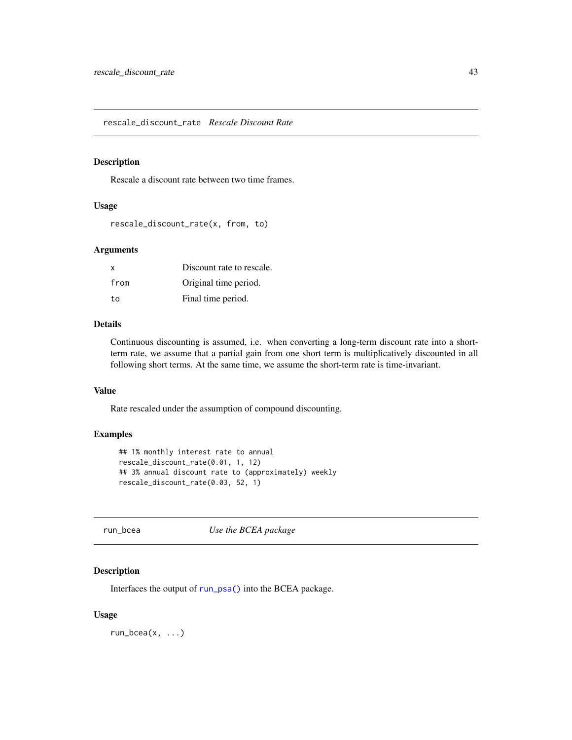<span id="page-42-0"></span>rescale\_discount\_rate *Rescale Discount Rate*

#### Description

Rescale a discount rate between two time frames.

## Usage

```
rescale_discount_rate(x, from, to)
```
#### Arguments

| X    | Discount rate to rescale. |
|------|---------------------------|
| from | Original time period.     |
| to   | Final time period.        |

## Details

Continuous discounting is assumed, i.e. when converting a long-term discount rate into a shortterm rate, we assume that a partial gain from one short term is multiplicatively discounted in all following short terms. At the same time, we assume the short-term rate is time-invariant.

## Value

Rate rescaled under the assumption of compound discounting.

#### Examples

```
## 1% monthly interest rate to annual
rescale_discount_rate(0.01, 1, 12)
## 3% annual discount rate to (approximately) weekly
rescale_discount_rate(0.03, 52, 1)
```
run\_bcea *Use the BCEA package*

#### Description

Interfaces the output of [run\\_psa\(\)](#page-48-1) into the BCEA package.

#### Usage

 $run\_bcea(x, \ldots)$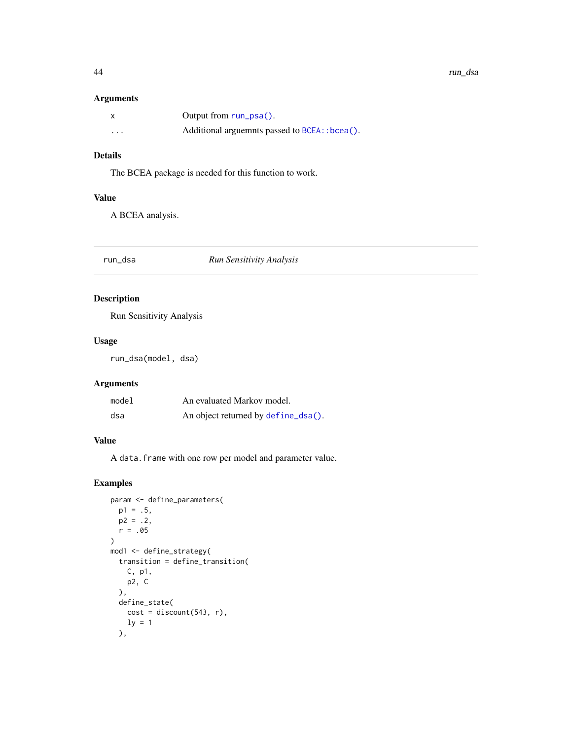#### <span id="page-43-0"></span>Arguments

|          | Output from $run_psa()$ .                      |
|----------|------------------------------------------------|
| $\cdots$ | Additional arguemnts passed to BCEA: : bcea(). |

## Details

The BCEA package is needed for this function to work.

#### Value

A BCEA analysis.

## <span id="page-43-1"></span>run\_dsa *Run Sensitivity Analysis*

## Description

Run Sensitivity Analysis

#### Usage

run\_dsa(model, dsa)

## Arguments

| model | An evaluated Markov model.          |
|-------|-------------------------------------|
| dsa   | An object returned by define_dsa(). |

## Value

A data.frame with one row per model and parameter value.

```
param <- define_parameters(
 p1 = .5,
 p2 = .2,
 r = .05)
mod1 <- define_strategy(
 transition = define_transition(
   C, p1,
   p2, C
 ),
 define_state(
   cost = discount(543, r),ly = 1),
```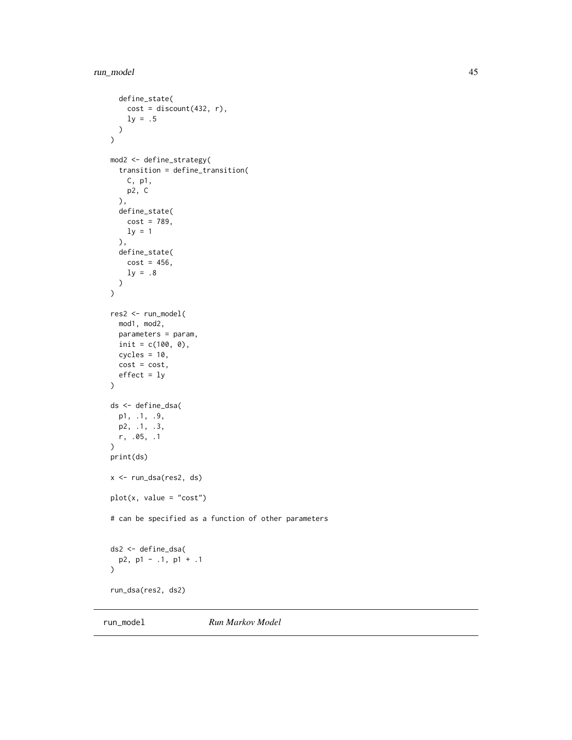```
define_state(
    cost = discount(432, r),ly = .5)
\mathcal{L}mod2 <- define_strategy(
  transition = define_transition(
    C, p1,
    p2, C
  ),
  define_state(
    cost = 789,ly = 1),
  define_state(
   cost = 456,
    ly = .8)
\mathcal{L}res2 <- run_model(
  mod1, mod2,
  parameters = param,
  init = c(100, 0),cycles = 10,cost = cost,effect = ly\mathcal{L}ds <- define_dsa(
 p1, .1, .9,
  p2, .1, .3,
  r, .05, .1
\mathcal{L}print(ds)
x <- run_dsa(res2, ds)
plot(x, value = "cost")# can be specified as a function of other parameters
ds2 <- define_dsa(
  p2, p1 - .1, p1 + .1
\mathcal{L}run_dsa(res2, ds2)
```
<span id="page-44-1"></span>run\_model *Run Markov Model*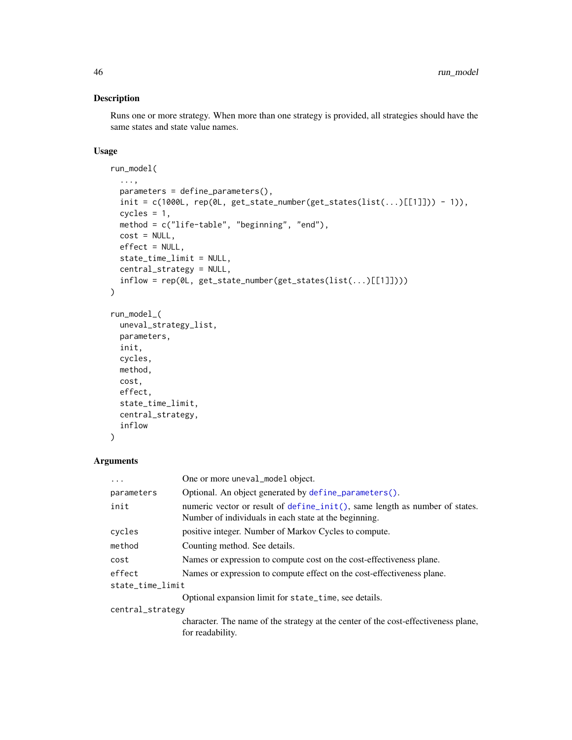## <span id="page-45-0"></span>Description

Runs one or more strategy. When more than one strategy is provided, all strategies should have the same states and state value names.

#### Usage

```
run_model(
  ...,
 parameters = define_parameters(),
 init = c(1000L, rep(0L, get\_state\_number(get\_states(list(...)[[1]])) - 1)),cycles = 1,
 method = c("life-table", "beginning", "end"),
 cost = NULL,effect = NULL,state_time_limit = NULL,
 central_strategy = NULL,
  inflow = rep(0L, get_state_number(get_states(list(...)[[1]])))
\mathcal{L}run_model_(
 uneval_strategy_list,
 parameters,
 init,
 cycles,
 method,
 cost,
 effect,
  state_time_limit,
 central_strategy,
  inflow
)
```
#### Arguments

| .                | One or more uneval_model object.                                                                                                     |
|------------------|--------------------------------------------------------------------------------------------------------------------------------------|
| parameters       | Optional. An object generated by define_parameters().                                                                                |
| init             | numeric vector or result of define_init(), same length as number of states.<br>Number of individuals in each state at the beginning. |
| cycles           | positive integer. Number of Markov Cycles to compute.                                                                                |
| method           | Counting method. See details.                                                                                                        |
| cost             | Names or expression to compute cost on the cost-effectiveness plane.                                                                 |
| effect           | Names or expression to compute effect on the cost-effectiveness plane.                                                               |
| state_time_limit |                                                                                                                                      |
|                  | Optional expansion limit for state_time, see details.                                                                                |
| central_strategy |                                                                                                                                      |
|                  | character. The name of the strategy at the center of the cost-effectiveness plane,<br>for readability.                               |
|                  |                                                                                                                                      |

<span id="page-45-1"></span>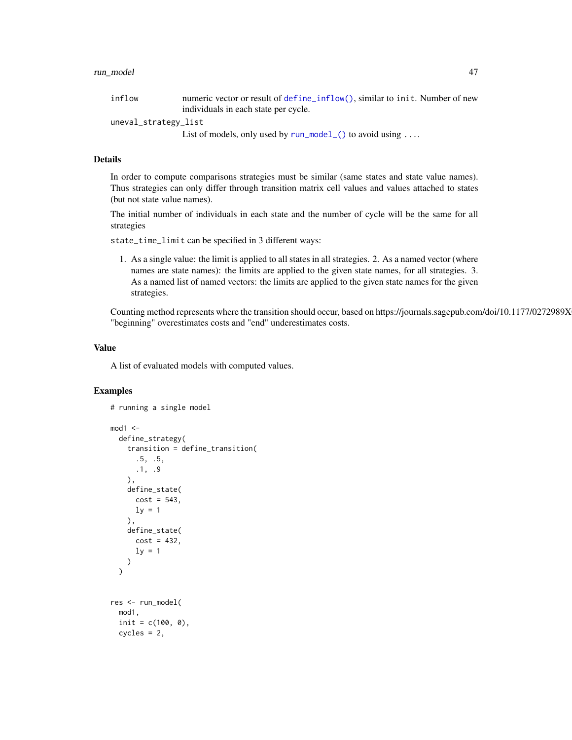#### <span id="page-46-0"></span>run\_model 47

| inflow               | numeric vector or result of define_inflow(), similar to init. Number of new |
|----------------------|-----------------------------------------------------------------------------|
|                      | individuals in each state per cycle.                                        |
| uneval_strategy_list |                                                                             |
|                      | List of models, only used by $run_model$ () to avoid using                  |

## Details

In order to compute comparisons strategies must be similar (same states and state value names). Thus strategies can only differ through transition matrix cell values and values attached to states (but not state value names).

The initial number of individuals in each state and the number of cycle will be the same for all strategies

state\_time\_limit can be specified in 3 different ways:

1. As a single value: the limit is applied to all states in all strategies. 2. As a named vector (where names are state names): the limits are applied to the given state names, for all strategies. 3. As a named list of named vectors: the limits are applied to the given state names for the given strategies.

Counting method represents where the transition should occur, based on https://journals.sagepub.com/doi/10.1177/0272989X "beginning" overestimates costs and "end" underestimates costs.

#### Value

A list of evaluated models with computed values.

```
# running a single model
mod1 < -define_strategy(
    transition = define_transition(
     .5, .5,
     .1, .9
   ),
   define_state(
     cost = 543,
     ly = 1),
   define_state(
     cost = 432,ly = 1)
 )
res <- run_model(
 mod1,
 init = c(100, 0),cycles = 2,
```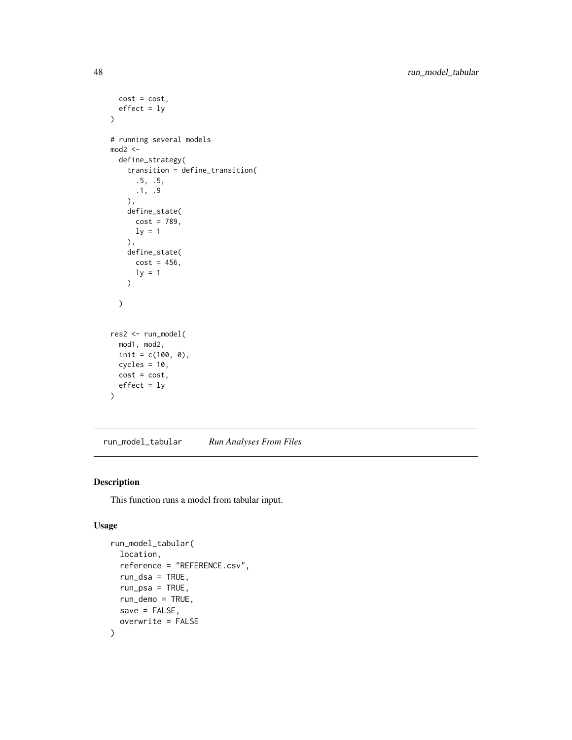```
cost = cost,effect = ly\mathcal{L}# running several models
mod2 < -define_strategy(
    transition = define_transition(
      .5, .5,
     .1, .9
    ),
    define_state(
      cost = 789,ly = 1),
    define_state(
     cost = 456,
     ly = 1\lambda)
res2 <- run_model(
  mod1, mod2,
  init = c(100, 0),
  cycles = 10,cost = cost,effect = ly)
```
run\_model\_tabular *Run Analyses From Files*

## Description

This function runs a model from tabular input.

#### Usage

```
run_model_tabular(
  location,
  reference = "REFERENCE.csv",
  run\_dsa = TRUE,
  run_psa = TRUE,
  run_demo = TRUE,
  save = FALSE,overwrite = FALSE
\mathcal{E}
```
<span id="page-47-0"></span>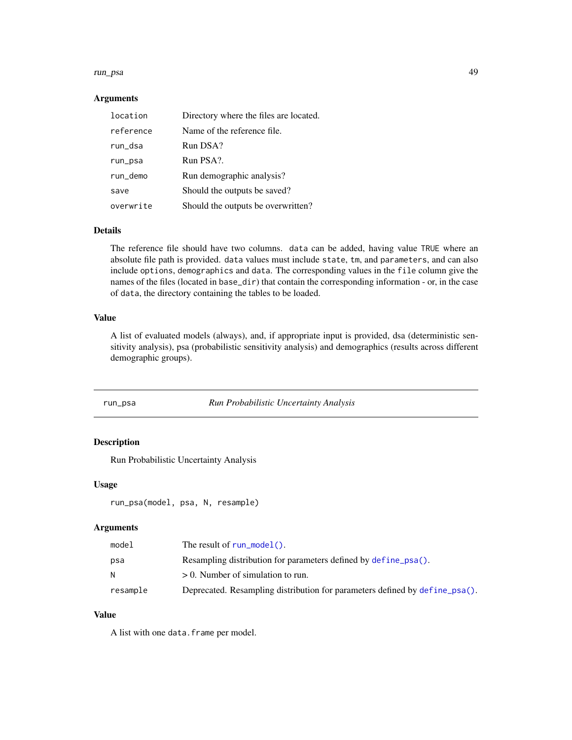#### <span id="page-48-0"></span>run\_psa 49

#### Arguments

| location  | Directory where the files are located. |
|-----------|----------------------------------------|
| reference | Name of the reference file.            |
| run_dsa   | Run DSA?                               |
| run_psa   | Run PSA?.                              |
| run_demo  | Run demographic analysis?              |
| save      | Should the outputs be saved?           |
| overwrite | Should the outputs be overwritten?     |

#### Details

The reference file should have two columns. data can be added, having value TRUE where an absolute file path is provided. data values must include state, tm, and parameters, and can also include options, demographics and data. The corresponding values in the file column give the names of the files (located in base\_dir) that contain the corresponding information - or, in the case of data, the directory containing the tables to be loaded.

#### Value

A list of evaluated models (always), and, if appropriate input is provided, dsa (deterministic sensitivity analysis), psa (probabilistic sensitivity analysis) and demographics (results across different demographic groups).

#### <span id="page-48-1"></span>run\_psa *Run Probabilistic Uncertainty Analysis*

## Description

Run Probabilistic Uncertainty Analysis

#### Usage

```
run_psa(model, psa, N, resample)
```
#### Arguments

| model    | The result of $run_model()$ .                                               |
|----------|-----------------------------------------------------------------------------|
| psa      | Resampling distribution for parameters defined by define psa().             |
| N        | $> 0$ . Number of simulation to run.                                        |
| resample | Deprecated. Resampling distribution for parameters defined by define_psa(). |

## Value

A list with one data.frame per model.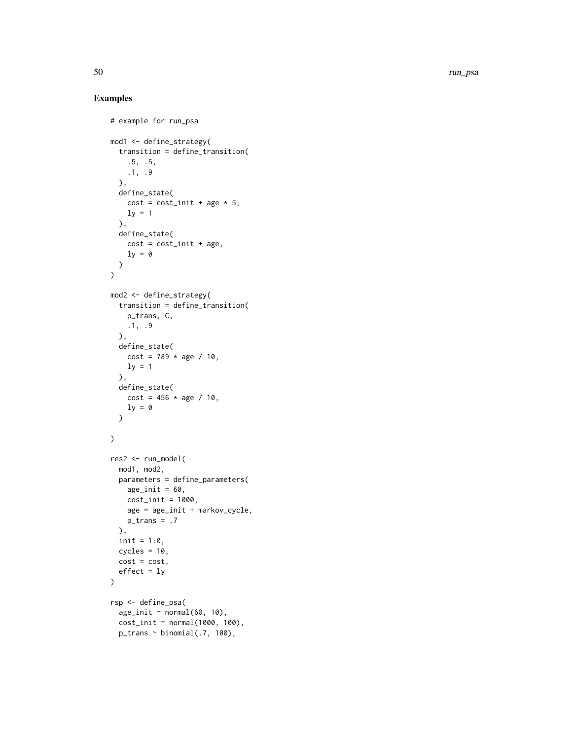50 run\_psa

```
# example for run_psa
mod1 <- define_strategy(
  transition = define_transition(
    .5, .5,
   .1, .9
  ),
  define_state(
  cost = cost\_init + age * 5,ly = 1),
  define_state(
   cost = cost\_init + age,\mathbf{1}\mathbf{v} = \mathbf{0})
\mathcal{L}mod2 <- define_strategy(
  transition = define_transition(
    p_trans, C,
    .1, .9
  ),
  define_state(
   cost = 789 * age / 10,ly = 1),
  define_state(
    cost = 456 * age / 10,ly = 0\lambda\overline{)}res2 <- run_model(
  mod1, mod2,
  parameters = define_parameters(
    age\_init = 60,cost_init = 1000,
    age = age_init + markov_cycle,
    p_{trans} = .7),
  init = 1:0,cycles = 10,cost = cost,effect = ly\mathcal{L}rsp <- define_psa(
  age\_init ~ normal(60, 10),
  cost_init ~ normal(1000, 100),
  p_{trans} \sim binomial(.7, 100),
```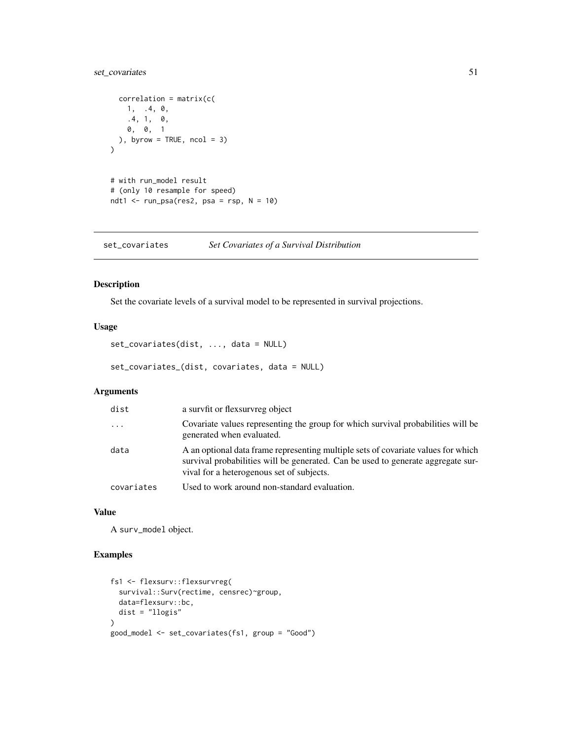## <span id="page-50-0"></span>set\_covariates 51

```
correlation = matrix(c()1, .4, 0,
    .4, 1, 0,
    0, 0, 1
 ), byrow = TRUE, ncol = 3)
\overline{)}# with run_model result
# (only 10 resample for speed)
ndt1 <- run_psa(res2, psa = rsp, N = 10)
```
set\_covariates *Set Covariates of a Survival Distribution*

## Description

Set the covariate levels of a survival model to be represented in survival projections.

## Usage

```
set_covariates(dist, ..., data = NULL)
```
set\_covariates\_(dist, covariates, data = NULL)

#### Arguments

| dist       | a survfit or flexsurvreg object                                                                                                                                                                                    |
|------------|--------------------------------------------------------------------------------------------------------------------------------------------------------------------------------------------------------------------|
| $\ddots$   | Covariate values representing the group for which survival probabilities will be<br>generated when evaluated.                                                                                                      |
| data       | A an optional data frame representing multiple sets of covariate values for which<br>survival probabilities will be generated. Can be used to generate aggregate sur-<br>vival for a heterogenous set of subjects. |
| covariates | Used to work around non-standard evaluation.                                                                                                                                                                       |

#### Value

A surv\_model object.

```
fs1 <- flexsurv::flexsurvreg(
  survival::Surv(rectime, censrec)~group,
  data=flexsurv::bc,
  dist = "llogis"
\mathcal{L}good_model <- set_covariates(fs1, group = "Good")
```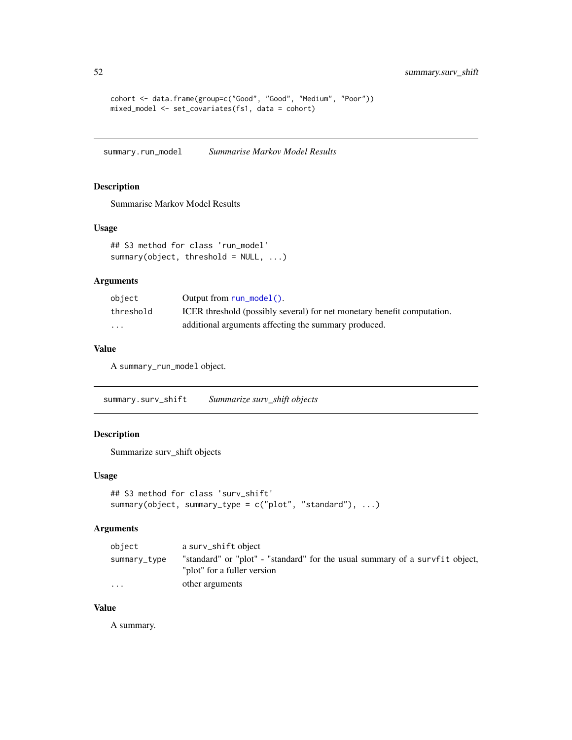```
cohort <- data.frame(group=c("Good", "Good", "Medium", "Poor"))
mixed_model <- set_covariates(fs1, data = cohort)
```
summary.run\_model *Summarise Markov Model Results*

#### Description

Summarise Markov Model Results

#### Usage

```
## S3 method for class 'run_model'
summary(object, threshold = NULL, ...)
```
#### Arguments

| obiect                  | Output from $run_model()$ .                                             |
|-------------------------|-------------------------------------------------------------------------|
| threshold               | ICER threshold (possibly several) for net monetary benefit computation. |
| $\cdot$ $\cdot$ $\cdot$ | additional arguments affecting the summary produced.                    |

#### Value

A summary\_run\_model object.

summary.surv\_shift *Summarize surv\_shift objects*

## Description

Summarize surv\_shift objects

#### Usage

```
## S3 method for class 'surv_shift'
summary(object, summary_type = c("plot", "standard"), ...)
```
## Arguments

| object                  | a surv_shift object                                                                                         |
|-------------------------|-------------------------------------------------------------------------------------------------------------|
| summary_type            | "standard" or "plot" - "standard" for the usual summary of a survfit object,<br>"plot" for a fuller version |
| $\cdot$ $\cdot$ $\cdot$ | other arguments                                                                                             |

## Value

A summary.

<span id="page-51-0"></span>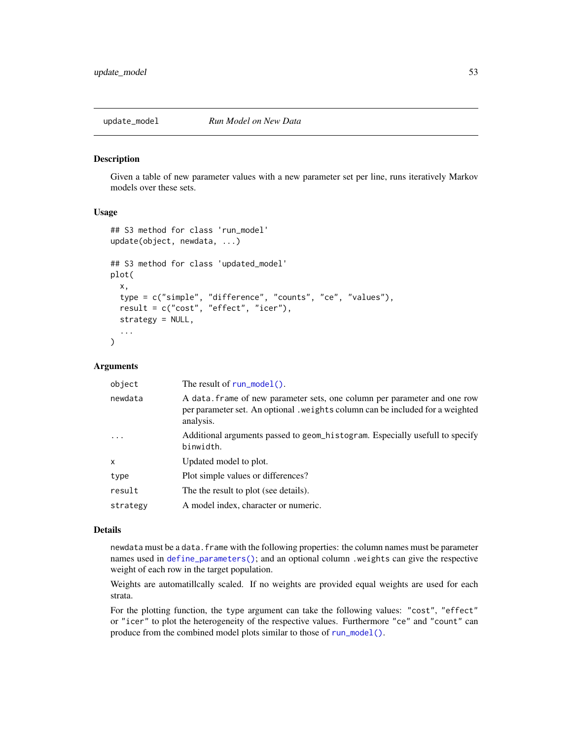<span id="page-52-0"></span>

#### Description

Given a table of new parameter values with a new parameter set per line, runs iteratively Markov models over these sets.

#### Usage

```
## S3 method for class 'run_model'
update(object, newdata, ...)
## S3 method for class 'updated_model'
plot(
  x,
  type = c("simple", "difference", "counts", "ce", "values"),
  result = c("cost", "effect", "icer"),
  strategy = NULL,
  ...
)
```
#### Arguments

| newdata<br>analysis.<br>$\ddots$ .<br>binwidth.<br>Updated model to plot.<br>X<br>Plot simple values or differences?<br>type<br>result<br>The the result to plot (see details).<br>A model index, character or numeric.<br>strategy | object | The result of $run_model()$ .                                                                                                                              |
|-------------------------------------------------------------------------------------------------------------------------------------------------------------------------------------------------------------------------------------|--------|------------------------------------------------------------------------------------------------------------------------------------------------------------|
|                                                                                                                                                                                                                                     |        | A data frame of new parameter sets, one column per parameter and one row<br>per parameter set. An optional , weights column can be included for a weighted |
|                                                                                                                                                                                                                                     |        | Additional arguments passed to geom_histogram. Especially usefull to specify                                                                               |
|                                                                                                                                                                                                                                     |        |                                                                                                                                                            |
|                                                                                                                                                                                                                                     |        |                                                                                                                                                            |
|                                                                                                                                                                                                                                     |        |                                                                                                                                                            |
|                                                                                                                                                                                                                                     |        |                                                                                                                                                            |

#### Details

newdata must be a data. frame with the following properties: the column names must be parameter names used in [define\\_parameters\(\)](#page-14-1); and an optional column .weights can give the respective weight of each row in the target population.

Weights are automatillcally scaled. If no weights are provided equal weights are used for each strata.

For the plotting function, the type argument can take the following values: "cost", "effect" or "icer" to plot the heterogeneity of the respective values. Furthermore "ce" and "count" can produce from the combined model plots similar to those of [run\\_model\(\)](#page-44-1).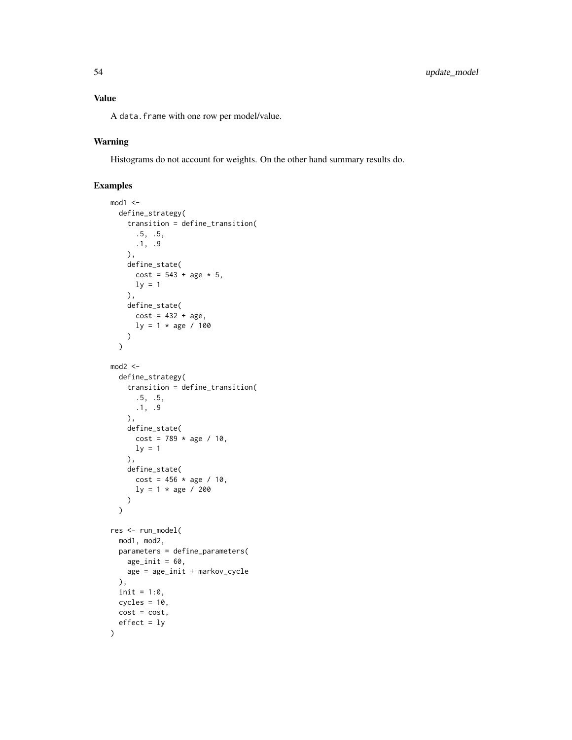A data.frame with one row per model/value.

## Warning

Histograms do not account for weights. On the other hand summary results do.

```
mod1 <-
  define_strategy(
   transition = define_transition(
      .5, .5,
     .1, .9
   ),
   define_state(
      cost = 543 + age * 5,ly = 1),
   define_state(
     cost = 432 + age,ly = 1 * age / 100\lambda\mathcal{L}mod2 < -define_strategy(
   transition = define_transition(
     .5, .5,
     .1, .9
   ),
   define_state(
     cost = 789 * age / 10,ly = 1),
   define_state(
     cost = 456 * age / 10,ly = 1 * age / 200)
  \lambdares <- run_model(
  mod1, mod2,
  parameters = define_parameters(
   age\_init = 60,age = age_init + markov_cycle
  ),
  init = 1:0,cycles = 10,cost = cost,effect = ly)
```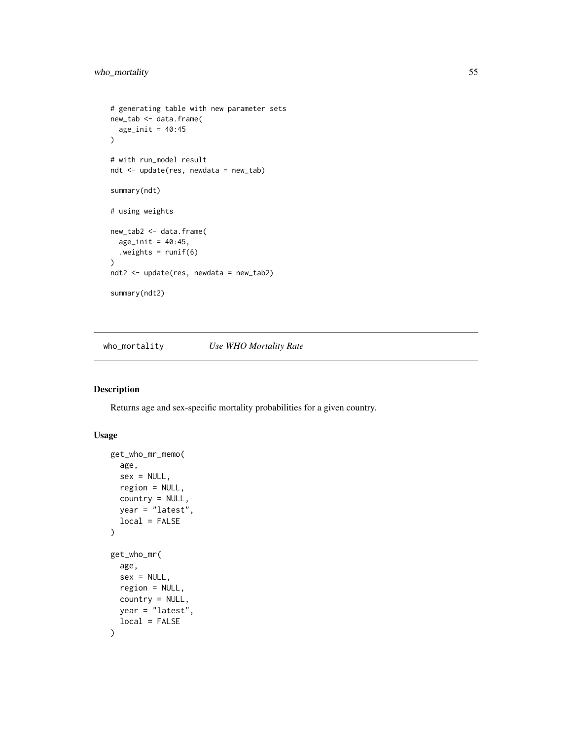```
# generating table with new parameter sets
new_tab <- data.frame(
 age\_init = 40:45)
# with run_model result
ndt <- update(res, newdata = new_tab)
summary(ndt)
# using weights
new_tab2 <- data.frame(
  age\_init = 40:45,.weights = runif(6)\mathcal{L}ndt2 <- update(res, newdata = new_tab2)
summary(ndt2)
```
who\_mortality *Use WHO Mortality Rate*

#### Description

Returns age and sex-specific mortality probabilities for a given country.

#### Usage

```
get_who_mr_memo(
  age,
  sex = NULL,region = NULL,
 country = NULL,
 year = "latest",
 local = FALSE
)
get_who_mr(
  age,
  sex = NULL,
 region = NULL,
 country = NULL,
 year = "latest",
  local = FALSE
\mathcal{E}
```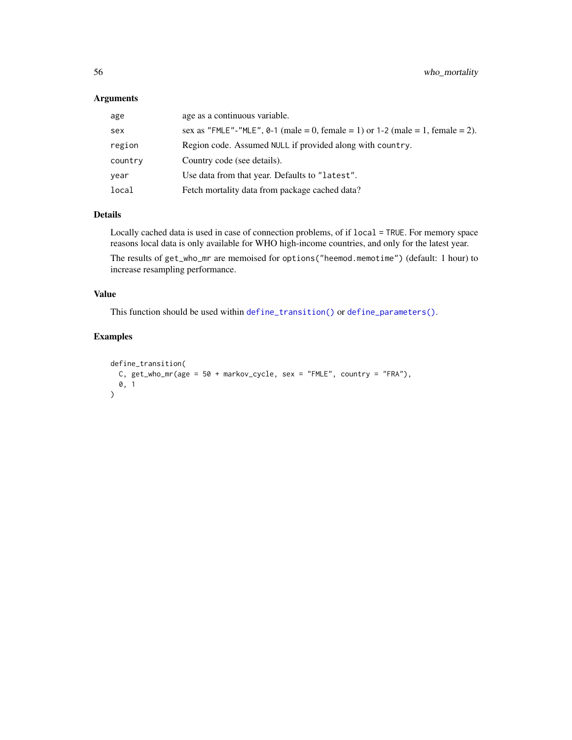#### <span id="page-55-0"></span>Arguments

| age     | age as a continuous variable.                                                    |
|---------|----------------------------------------------------------------------------------|
| sex     | sex as "FMLE"-"MLE", $0-1$ (male = 0, female = 1) or 1-2 (male = 1, female = 2). |
| region  | Region code. Assumed NULL if provided along with country.                        |
| country | Country code (see details).                                                      |
| year    | Use data from that year. Defaults to "latest".                                   |
| local   | Fetch mortality data from package cached data?                                   |

## Details

Locally cached data is used in case of connection problems, of if local = TRUE. For memory space reasons local data is only available for WHO high-income countries, and only for the latest year.

The results of get\_who\_mr are memoised for options("heemod.memotime") (default: 1 hour) to increase resampling performance.

#### Value

This function should be used within [define\\_transition\(\)](#page-23-1) or [define\\_parameters\(\)](#page-14-1).

```
define_transition(
  C, get_{who\_mr}(age = 50 + markov_{cycle}, sex = "FMLE", country = "FRA"),0, 1
)
```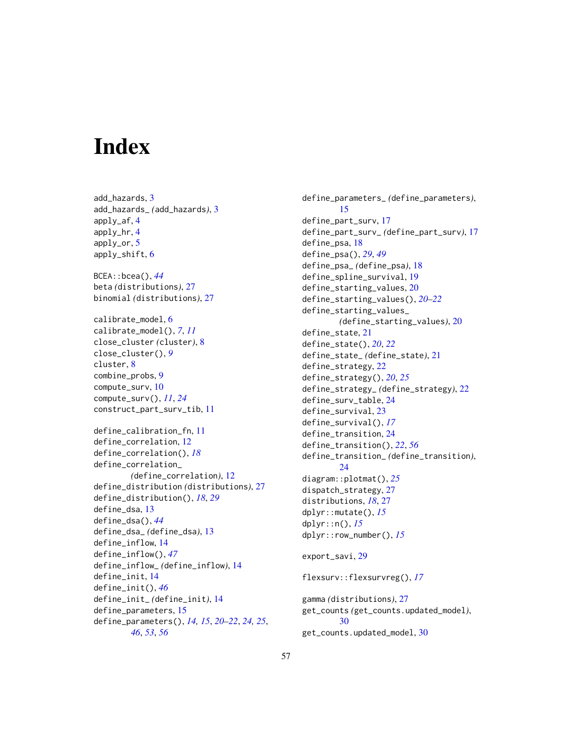# <span id="page-56-0"></span>**Index**

add\_hazards, [3](#page-2-0) add\_hazards\_ *(*add\_hazards*)*, [3](#page-2-0) apply\_af, [4](#page-3-0) apply\_hr, [4](#page-3-0) apply\_or, [5](#page-4-0) apply\_shift, [6](#page-5-0) BCEA::bcea(), *[44](#page-43-0)* beta *(*distributions*)*, [27](#page-26-0) binomial *(*distributions*)*, [27](#page-26-0) calibrate\_model, [6](#page-5-0) calibrate\_model(), *[7](#page-6-0)*, *[11](#page-10-0)* close\_cluster *(*cluster*)*, [8](#page-7-0) close\_cluster(), *[9](#page-8-0)* cluster, [8](#page-7-0) combine\_probs, [9](#page-8-0) compute\_surv, [10](#page-9-0) compute\_surv(), *[11](#page-10-0)*, *[24](#page-23-0)* construct\_part\_surv\_tib, [11](#page-10-0) define\_calibration\_fn, [11](#page-10-0) define\_correlation, [12](#page-11-0) define\_correlation(), *[18](#page-17-0)* define\_correlation\_ *(*define\_correlation*)*, [12](#page-11-0) define\_distribution *(*distributions*)*, [27](#page-26-0) define\_distribution(), *[18](#page-17-0)*, *[29](#page-28-0)* define\_dsa, [13](#page-12-0) define\_dsa(), *[44](#page-43-0)* define\_dsa\_ *(*define\_dsa*)*, [13](#page-12-0) define\_inflow, [14](#page-13-0) define\_inflow(), *[47](#page-46-0)* define\_inflow\_ *(*define\_inflow*)*, [14](#page-13-0) define\_init, [14](#page-13-0) define\_init(), *[46](#page-45-1)* define\_init\_ *(*define\_init*)*, [14](#page-13-0) define\_parameters, [15](#page-14-0) define\_parameters(), *[14,](#page-13-0) [15](#page-14-0)*, *[20–](#page-19-0)[22](#page-21-0)*, *[24,](#page-23-0) [25](#page-24-0)*, *[46](#page-45-1)*, *[53](#page-52-0)*, *[56](#page-55-0)*

define\_parameters\_ *(*define\_parameters*)*, [15](#page-14-0) define\_part\_surv, [17](#page-16-0) define\_part\_surv\_ *(*define\_part\_surv*)*, [17](#page-16-0) define\_psa, [18](#page-17-0) define\_psa(), *[29](#page-28-0)*, *[49](#page-48-0)* define\_psa\_ *(*define\_psa*)*, [18](#page-17-0) define\_spline\_survival, [19](#page-18-0) define\_starting\_values, [20](#page-19-0) define\_starting\_values(), *[20](#page-19-0)[–22](#page-21-0)* define\_starting\_values\_ *(*define\_starting\_values*)*, [20](#page-19-0) define\_state, [21](#page-20-0) define\_state(), *[20](#page-19-0)*, *[22](#page-21-0)* define\_state\_ *(*define\_state*)*, [21](#page-20-0) define\_strategy, [22](#page-21-0) define\_strategy(), *[20](#page-19-0)*, *[25](#page-24-0)* define\_strategy\_ *(*define\_strategy*)*, [22](#page-21-0) define\_surv\_table, [24](#page-23-0) define\_survival, [23](#page-22-0) define\_survival(), *[17](#page-16-0)* define\_transition, [24](#page-23-0) define\_transition(), *[22](#page-21-0)*, *[56](#page-55-0)* define\_transition\_ *(*define\_transition*)*, [24](#page-23-0) diagram::plotmat(), *[25](#page-24-0)* dispatch\_strategy, [27](#page-26-0) distributions, *[18](#page-17-0)*, [27](#page-26-0) dplyr::mutate(), *[15](#page-14-0)* dplyr::n(), *[15](#page-14-0)* dplyr::row\_number(), *[15](#page-14-0)* export\_savi, [29](#page-28-0) flexsurv::flexsurvreg(), *[17](#page-16-0)* gamma *(*distributions*)*, [27](#page-26-0) get\_counts *(*get\_counts.updated\_model*)*, [30](#page-29-0)

get\_counts.updated\_model, [30](#page-29-0)